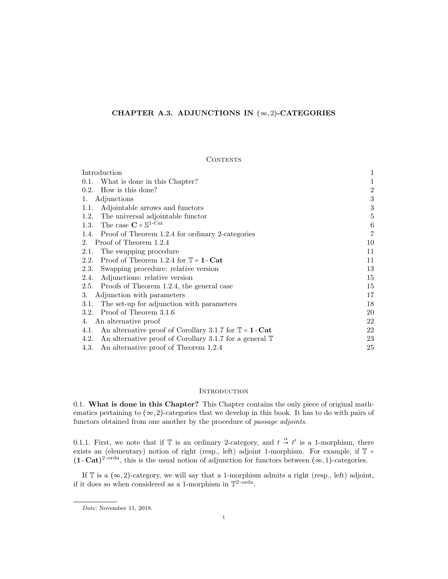# CHAPTER A.3. ADJUNCTIONS IN  $(\infty, 2)$ -CATEGORIES

### **CONTENTS**

| Introduction                                                               |                |
|----------------------------------------------------------------------------|----------------|
| 0.1. What is done in this Chapter?                                         |                |
| How is this done?<br>0.2.                                                  | $\,2$          |
| Adjunctions<br>1.                                                          | 3              |
| Adjointable arrows and functors<br>1.1.                                    | 3              |
| The universal adjointable functor<br>1.2.                                  | $\bf 5$        |
| The case $C = \mathbb{S}^{1-Cat}$<br>1.3.                                  | 6              |
| 1.4. Proof of Theorem 1.2.4 for ordinary 2-categories                      | $\overline{7}$ |
| Proof of Theorem 1.2.4<br>2.                                               | 10             |
| The swapping procedure<br>2.1.                                             | 11             |
| Proof of Theorem 1.2.4 for $\mathbb{T} = 1$ - Cat<br>2.2.                  | 11             |
| 2.3.<br>Swapping procedure: relative version                               | 13             |
| Adjunctions: relative version<br>2.4.                                      | 15             |
| Proofs of Theorem 1.2.4, the general case<br>2.5.                          | 15             |
| Adjunction with parameters<br>3.                                           | 17             |
| The set-up for adjunction with parameters<br>3.1.                          | 18             |
| Proof of Theorem 3.1.6<br>3.2.                                             | 20             |
| An alternative proof<br>4.                                                 | 22             |
| An alternative proof of Corollary 3.1.7 for $\mathbb{T} = 1$ - Cat<br>4.1. | 22             |
| 4.2. An alternative proof of Corollary 3.1.7 for a general $\mathbb T$     | 23             |
| 4.3. An alternative proof of Theorem 1.2.4                                 | 25             |

# **INTRODUCTION**

0.1. What is done in this Chapter? This Chapter contains the only piece of original mathematics pertaining to  $(\infty, 2)$ -categories that we develop in this book. It has to do with pairs of functors obtained from one another by the procedure of passage adjoints.

0.1.1. First, we note that if  $\mathbb T$  is an ordinary 2-category, and  $t \stackrel{\alpha}{\to} t'$  is a 1-morphism, there exists an (elementary) notion of right (resp., left) adjoint 1-morphism. For example, if  $\mathbb{T}$  =  $(1 - \text{Cat})^{2-\text{ordn}}$ , this is the usual notion of adjunction for functors between  $(\infty, 1)$ -categories.

If  $\mathbb T$  is a  $(\infty, 2)$ -category, we will say that a 1-morphism admits a right (resp., left) adjoint, if it does so when considered as a 1-morphism in  $\mathbb{T}^2$ -ordn.

Date: November 11, 2018.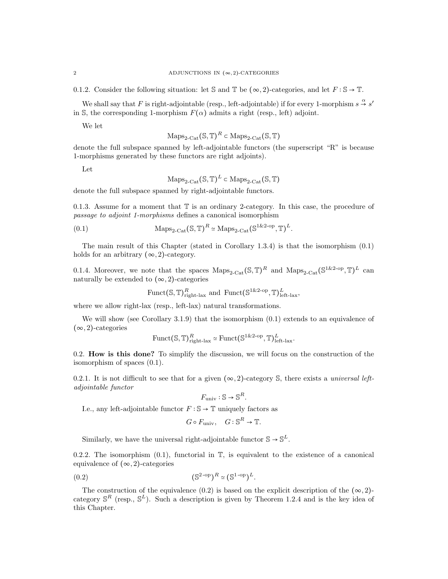0.1.2. Consider the following situation: let S and T be  $(\infty, 2)$ -categories, and let  $F : \mathbb{S} \to \mathbb{T}$ .

We shall say that F is right-adjointable (resp., left-adjointable) if for every 1-morphism  $s \stackrel{\alpha}{\rightarrow} s'$ in S, the corresponding 1-morphism  $F(\alpha)$  admits a right (resp., left) adjoint.

We let

$$
\mathrm{Maps}_{2\text{-}\mathrm{Cat}}(\mathbb{S}, \mathbb{T})^R \subset \mathrm{Maps}_{2\text{-}\mathrm{Cat}}(\mathbb{S}, \mathbb{T})
$$

denote the full subspace spanned by left-adjointable functors (the superscript "R" is because 1-morphisms generated by these functors are right adjoints).

Let

$$
\mathrm{Maps}_{2\text{-}\mathrm{Cat}}(\mathbb{S}, \mathbb{T})^L \subset \mathrm{Maps}_{2\text{-}\mathrm{Cat}}(\mathbb{S}, \mathbb{T})
$$

denote the full subspace spanned by right-adjointable functors.

0.1.3. Assume for a moment that  $\mathbb T$  is an ordinary 2-category. In this case, the procedure of passage to adjoint 1-morphisms defines a canonical isomorphism

(0.1) 
$$
\text{Maps}_{2\text{-Cat}}(\mathbb{S}, \mathbb{T})^R \simeq \text{Maps}_{2\text{-Cat}}(\mathbb{S}^{1\&2\text{-op}}, \mathbb{T})^L.
$$

The main result of this Chapter (stated in Corollary 1.3.4) is that the isomorphism (0.1) holds for an arbitrary  $(\infty, 2)$ -category.

0.1.4. Moreover, we note that the spaces  $\text{Maps}_{2\text{-}\text{Cat}}(\mathbb{S}, \mathbb{T})^R$  and  $\text{Maps}_{2\text{-}\text{Cat}}(\mathbb{S}^{1\&2\text{-}op}, \mathbb{T})^L$  can naturally be extended to  $(\infty, 2)$ -categories

$$
\text{Funct}(\mathbb{S}, \mathbb{T})^R_{\text{right-lax}} \text{ and } \text{Funct}(\mathbb{S}^{1 \& 2\text{-op}}, \mathbb{T})^L_{\text{left-lax}},
$$

where we allow right-lax (resp., left-lax) natural transformations.

We will show (see Corollary 3.1.9) that the isomorphism  $(0.1)$  extends to an equivalence of  $(\infty, 2)$ -categories

$$
\text{Funct}(\mathbb{S}, \mathbb{T})^R_{\text{right-lax}} \simeq \text{Funct}(\mathbb{S}^{1 \& 2\text{-op}}, \mathbb{T})^L_{\text{left-lax}}.
$$

0.2. How is this done? To simplify the discussion, we will focus on the construction of the isomorphism of spaces (0.1).

0.2.1. It is not difficult to see that for a given  $(\infty, 2)$ -category S, there exists a *universal left*adjointable functor

$$
F_{\text{univ}}: \mathbb{S} \to \mathbb{S}^R.
$$

I.e., any left-adjointable functor  $F : \mathbb{S} \to \mathbb{T}$  uniquely factors as

$$
G \circ F_{\text{univ}}, \quad G: \mathbb{S}^R \to \mathbb{T}.
$$

Similarly, we have the universal right-adjointable functor  $\mathbb{S} \to \mathbb{S}^L$ .

0.2.2. The isomorphism  $(0.1)$ , functorial in  $\mathbb{T}$ , is equivalent to the existence of a canonical equivalence of  $(\infty, 2)$ -categories

$$
(0.2) \qquad (\mathbb{S}^{2\text{-op}})^R \simeq (\mathbb{S}^{1\text{-op}})^L.
$$

The construction of the equivalence (0.2) is based on the explicit description of the  $(\infty, 2)$ category  $\mathbb{S}^R$  (resp.,  $\mathbb{S}^L$ ). Such a description is given by Theorem 1.2.4 and is the key idea of this Chapter.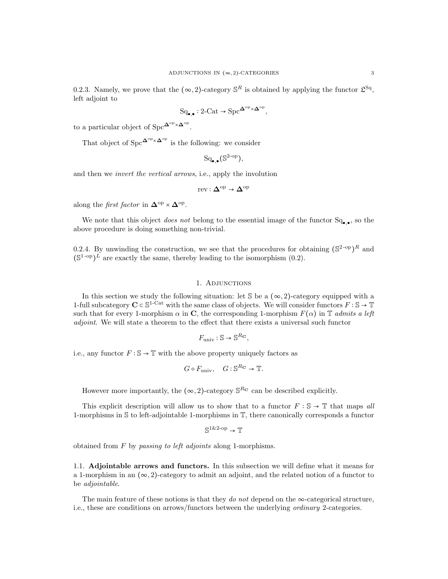0.2.3. Namely, we prove that the  $(\infty, 2)$ -category  $\mathbb{S}^R$  is obtained by applying the functor  $\mathfrak{L}^{\text{Sq}}$ , left adjoint to

$$
\mathrm{Sq}_{\bullet,\bullet}: 2\text{-}\mathrm{Cat} \to \mathrm{Spc}^{\mathbf{\Delta}^{\mathrm{op}} \times \mathbf{\Delta}^{\mathrm{op}}},
$$

to a particular object of Spc $\mathbf{\Delta}^{\mathrm{op}} \times \mathbf{\Delta}^{\mathrm{op}}$ .

That object of  $Spec^{\mathbf{\Delta}^{op} \times \mathbf{\Delta}^{op}}$  is the following: we consider

$$
\mathrm{Sq}_{\bullet,\bullet}(\mathbb{S}^{2\text{-op}}),
$$

and then we invert the vertical arrows, i.e., apply the involution

$$
\mathrm{rev}:\Delta^{\mathrm{op}}\to\Delta^{\mathrm{op}}
$$

along the *first factor* in  $\mathbf{\Delta}^{\text{op}} \times \mathbf{\Delta}^{\text{op}}$ .

We note that this object *does not* belong to the essential image of the functor  $Sq_{\bullet,\bullet}$ , so the above procedure is doing something non-trivial.

0.2.4. By unwinding the construction, we see that the procedures for obtaining  $(\mathbb{S}^{2\text{-op}})^R$  and  $(\mathbb{S}^{1\text{-op}})^{\tilde{L}}$  are exactly the same, thereby leading to the isomorphism (0.2).

#### 1. Adjunctions

In this section we study the following situation: let  $\mathcal S$  be a  $(\infty, 2)$ -category equipped with a 1-full subcategory  $C \subset \mathbb{S}^{1-\mathrm{Cat}}$  with the same class of objects. We will consider functors  $F : \mathbb{S} \to \mathbb{T}$ such that for every 1-morphism  $\alpha$  in C, the corresponding 1-morphism  $F(\alpha)$  in T admits a left adjoint. We will state a theorem to the effect that there exists a universal such functor

$$
F_{\rm univ}:\mathbb{S}\to\mathbb{S}^{R{\bf C}},
$$

i.e., any functor  $F : \mathbb{S} \to \mathbb{T}$  with the above property uniquely factors as

$$
G \circ F_{\text{univ}}, \quad G: \mathbb{S}^{R_{\mathbf{C}}} \to \mathbb{T}.
$$

However more importantly, the  $(\infty, 2)$ -category  $\mathbb{S}^{R_{\mathbf{C}}}$  can be described explicitly.

This explicit description will allow us to show that to a functor  $F : \mathbb{S} \to \mathbb{T}$  that maps all 1-morphisms in S to left-adjointable 1-morphisms in T, there canonically corresponds a functor

$$
\mathbb{S}^{1\&2\text{-op}} \to \mathbb{T}
$$

obtained from  $F$  by passing to left adjoints along 1-morphisms.

1.1. Adjointable arrows and functors. In this subsection we will define what it means for a 1-morphism in an  $(\infty, 2)$ -category to admit an adjoint, and the related notion of a functor to be adjointable.

The main feature of these notions is that they do not depend on the  $\infty$ -categorical structure, i.e., these are conditions on arrows/functors between the underlying ordinary 2-categories.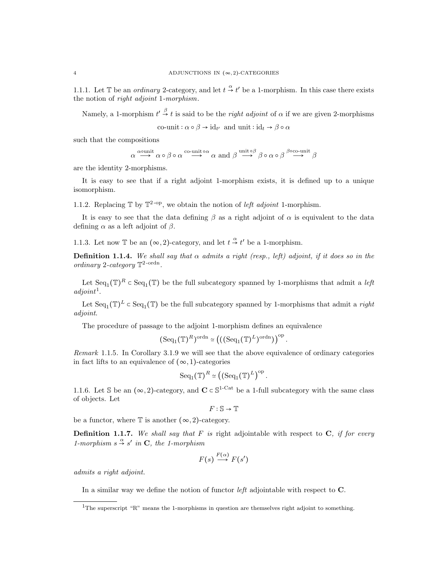1.1.1. Let T be an *ordinary* 2-category, and let  $t \stackrel{\alpha}{\rightarrow} t'$  be a 1-morphism. In this case there exists the notion of right adjoint 1-morphism.

Namely, a 1-morphism  $t' \stackrel{\beta}{\rightarrow} t$  is said to be the *right adjoint* of  $\alpha$  if we are given 2-morphisms co-unit:  $\alpha \circ \beta \to id_{t'}$  and unit :  $id_t \to \beta \circ \alpha$ 

such that the compositions

$$
\alpha\overset{\alpha\text{ounit}}{\longrightarrow}\alpha\circ\beta\circ\alpha\overset{\text{co-unit}\circ\alpha}{\longrightarrow}\alpha\text{ and }\beta\overset{\text{unit}\circ\beta}{\longrightarrow}\beta\circ\alpha\circ\beta\overset{\beta\text{oco-unit}}{\longrightarrow}\beta
$$

are the identity 2-morphisms.

It is easy to see that if a right adjoint 1-morphism exists, it is defined up to a unique isomorphism.

1.1.2. Replacing  $\mathbb{T}$  by  $\mathbb{T}^{2-\text{op}}$ , we obtain the notion of *left adjoint* 1-morphism.

It is easy to see that the data defining  $\beta$  as a right adjoint of  $\alpha$  is equivalent to the data defining  $\alpha$  as a left adjoint of  $\beta$ .

1.1.3. Let now  $\mathbb T$  be an  $(\infty, 2)$ -category, and let  $t \stackrel{\alpha}{\to} t'$  be a 1-morphism.

**Definition 1.1.4.** We shall say that  $\alpha$  admits a right (resp., left) adjoint, if it does so in the ordinary 2-category  $\mathbb{T}^2$ -ordn.

Let  $\text{Seq}_1(\mathbb{T})^R \subset \text{Seq}_1(\mathbb{T})$  be the full subcategory spanned by 1-morphisms that admit a *left*  $adjoint<sup>1</sup>$ .

Let  $\text{Seq}_1(\mathbb{T})^L \subset \text{Seq}_1(\mathbb{T})$  be the full subcategory spanned by 1-morphisms that admit a right adjoint.

The procedure of passage to the adjoint 1-morphism defines an equivalence

$$
(\mathrm{Seq}_1(\mathbb{T})^R)^{\mathrm{ordn}} \simeq \left( ((\mathrm{Seq}_1(\mathbb{T})^L)^{\mathrm{ordn}}) \right)^{\mathrm{op}}.
$$

Remark 1.1.5. In Corollary 3.1.9 we will see that the above equivalence of ordinary categories in fact lifts to an equivalence of  $(\infty, 1)$ -categories

$$
\mathrm{Seq}_1(\mathbb{T})^R \simeq \left( \left( \mathrm{Seq}_1(\mathbb{T})^L \right)^{\mathrm{op}} \right).
$$

1.1.6. Let S be an  $(\infty, 2)$ -category, and  $C \subset \mathbb{S}^{1-Cat}$  be a 1-full subcategory with the same class of objects. Let

$$
F:\mathbb{S}\to\mathbb{T}
$$

be a functor, where  $\mathbb T$  is another  $(\infty, 2)$ -category.

**Definition 1.1.7.** We shall say that F is right adjointable with respect to C, if for every 1-morphism  $s \stackrel{\alpha}{\rightarrow} s'$  in **C**, the 1-morphism

$$
F(s) \stackrel{F(\alpha)}{\longrightarrow} F(s')
$$

admits a right adjoint.

In a similar way we define the notion of functor *left* adjointable with respect to **C**.

<sup>&</sup>lt;sup>1</sup>The superscript "R" means the 1-morphisms in question are themselves right adjoint to something.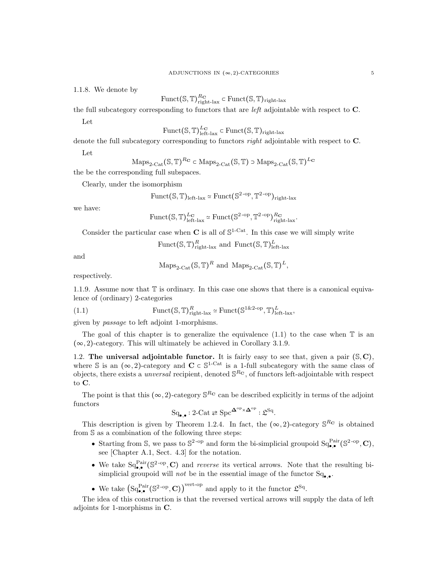1.1.8. We denote by

 $\mathrm{Funct}(\mathbb{S},\mathbb{T})_{\mathrm{right\text{-}lax}}^{R_{\mathbf{C}}} \subset \mathrm{Funct}(\mathbb{S},\mathbb{T})_{\mathrm{right\text{-}lax}}$ 

the full subcategory corresponding to functors that are left adjointable with respect to C.

Let

$$
\mathrm{Funct}(\mathbb{S}, \mathbb{T})_{\mathrm{left}\text{-}\mathrm{lax}}^{L_{\mathbf{C}}} \subset \mathrm{Funct}(\mathbb{S}, \mathbb{T})_{\mathrm{right}\text{-}\mathrm{lax}}
$$

denote the full subcategory corresponding to functors *right* adjointable with respect to **C**.

Let

$$
\mathrm{Maps}_{2\text{-}\mathrm{Cat}}(\mathbb{S}, \mathbb{T})^{R_{\mathbf{C}}} \subset \mathrm{Maps}_{2\text{-}\mathrm{Cat}}(\mathbb{S}, \mathbb{T}) \supset \mathrm{Maps}_{2\text{-}\mathrm{Cat}}(\mathbb{S}, \mathbb{T})^{L_{\mathbf{C}}}
$$

the be the corresponding full subspaces.

Clearly, under the isomorphism

$$
\mathrm{Funct}(\mathbb{S}, \mathbb{T})_{\mathrm{left}\text{-}\mathrm{lax}} \simeq \mathrm{Funct}(\mathbb{S}^{2\text{-}\mathrm{op}}, \mathbb{T}^{2\text{-}\mathrm{op}})_{\mathrm{right}\text{-}\mathrm{lax}}
$$

we have:

$$
\mathrm{Funct}(\mathbb{S}, \mathbb{T})^{\mathrm{L}_{\mathbf{C}}}_{\mathrm{left-law}} \simeq \mathrm{Funct}(\mathbb{S}^{2\text{-op}}, \mathbb{T}^{2\text{-op}})^{\mathrm{R}_{\mathbf{C}}}_{\mathrm{right-law}}.
$$

Consider the particular case when  $C$  is all of  $\mathbb{S}^{1-Cat}$ . In this case we will simply write

Funct
$$
(\mathbb{S}, \mathbb{T})^R_{\text{right-lax}}
$$
 and  $\text{Funct}(\mathbb{S}, \mathbb{T})^L_{\text{left-lax}}$ 

and

$$
\mathrm{Maps}_{2\text{-}\mathrm{Cat}}(\mathbb{S}, \mathbb{T})^R \text{ and } \mathrm{Maps}_{2\text{-}\mathrm{Cat}}(\mathbb{S}, \mathbb{T})^L,
$$

respectively.

1.1.9. Assume now that  $\mathbb T$  is ordinary. In this case one shows that there is a canonical equivalence of (ordinary) 2-categories

(1.1) 
$$
\text{Funct}(\mathbb{S}, \mathbb{T})^R_{\text{right-lax}} \simeq \text{Funct}(\mathbb{S}^{1\&2\text{-op}}, \mathbb{T})^L_{\text{left-lax}},
$$

given by passage to left adjoint 1-morphisms.

The goal of this chapter is to generalize the equivalence  $(1.1)$  to the case when  $\mathbb T$  is an  $(\infty, 2)$ -category. This will ultimately be achieved in Corollary 3.1.9.

1.2. The universal adjointable functor. It is fairly easy to see that, given a pair  $(S, C)$ , where S is an  $(\infty, 2)$ -category and  $C \subset \mathbb{S}^{1-Cat}$  is a 1-full subcategory with the same class of objects, there exists a *unversal* recipient, denoted  $\mathbb{S}^{R_{\mathbf{C}}}$ , of functors left-adjointable with respect to C.

The point is that this  $(\infty, 2)$ -category  $\mathbb{S}^{R_{\mathbf{C}}}$  can be described explicitly in terms of the adjoint functors

$$
\mathrm{Sq}_{\bullet,\bullet}: 2\text{-}\mathrm{Cat} \rightleftarrows \mathrm{Spc}^{\mathbf{\Delta}^{\mathrm{op}}\times\mathbf{\Delta}^{\mathrm{op}}}: \mathfrak{L}^{\mathrm{Sq}}.
$$

This description is given by Theorem 1.2.4. In fact, the  $(\infty, 2)$ -category  $\mathbb{S}^{R_{\mathbf{C}}}$  is obtained from S as a combination of the following three steps:

- Starting from S, we pass to  $\mathbb{S}^{2\text{-op}}$  and form the bi-simplicial groupoid  $\text{Sq}_{\bullet,\bullet}^{\text{Pair}}(\mathbb{S}^{2\text{-op}}, \mathbb{C}),$ see [Chapter A.1, Sect. 4.3] for the notation.
- We take  $Sq_{\bullet,\bullet}^{\text{Pair}}(\mathbb{S}^{2\text{-op}}, \mathbb{C})$  and *reverse* its vertical arrows. Note that the resulting bisimplicial groupoid will *not* be in the essential image of the functor  $Sq_{\bullet,\bullet}$ .
- We take  $(Sq_{\bullet,\bullet}^{\text{Pair}}(\mathbb{S}^{2\text{-op}}, \mathbf{C}))^{\text{vert-op}}$  and apply to it the functor  $\mathfrak{L}^{\text{Sq}}$ .

The idea of this construction is that the reversed vertical arrows will supply the data of left adjoints for 1-morphisms in C.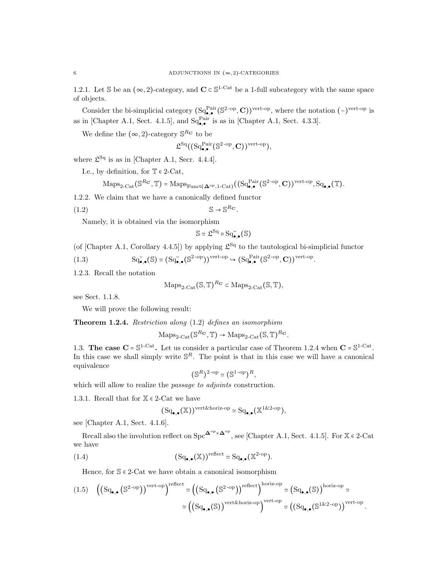1.2.1. Let S be an  $(\infty, 2)$ -category, and  $\mathbf{C} \subset \mathbb{S}^{1-\text{Cat}}$  be a 1-full subcategory with the same space of objects.

Consider the bi-simplicial category  $(Sq_{\bullet,\bullet}^{Pair}(S^{2-op}, \mathbf{C}))^{vert-op}$ , where the notation  $(-)^{vert-op}$  is as in [Chapter A.1, Sect. 4.1.5], and  $Sq_{\bullet,\bullet}^{Pair}$  is as in [Chapter A.1, Sect. 4.3.3].

We define the  $(\infty, 2)$ -category  $\mathbb{S}^{R_{\mathbf{C}}}$  to be

$$
\mathfrak{L}^{\operatorname{Sq}}((\operatorname{Sq}_{\bullet,\bullet}^{\operatorname{Pair}}(\mathbb{S}^{2\operatorname{-op}}, \mathbf{C}))^{\operatorname{vert-op}}),
$$

where  $\mathfrak{L}^{\text{Sq}}$  is as in [Chapter A.1, Secr. 4.4.4].

I.e., by definition, for  $\mathbb{T} \in 2$ -Cat,

$$
\mathrm{Maps}_{2\text{-}\mathrm{Cat}}(\mathbb{S}^{R_{\mathbf{C}}}, \mathbb{T}) = \mathrm{Maps}_{\mathrm{Funct}(\mathbf{\Delta}^{\mathrm{op}}, 1\text{-}\mathrm{Cat})}((\mathrm{Sq}^{\mathrm{Pair}}_{\bullet, \bullet}(\mathbb{S}^{2\text{-}\mathrm{op}}, \mathbf{C}))^{\mathrm{vert}\text{-}\mathrm{op}}, \mathrm{Sq}_{\bullet, \bullet}(\mathbb{T}).
$$

1.2.2. We claim that we have a canonically defined functor

(1.2) S → S <sup>R</sup><sup>C</sup> .

Namely, it is obtained via the isomorphism

$$
\mathbb{S}\simeq\mathfrak{L}^{\operatorname{Sq}}\circ\operatorname{Sq}_{\bullet,\bullet}^{\sim}(\mathbb{S})
$$

(of [Chapter A.1, Corollary 4.4.5]) by applying  $\mathfrak{L}^{\text{Sq}}$  to the tautological bi-simplicial functor

(1.3) 
$$
\mathrm{Sq}_{\bullet,\bullet}^{\sim}(\mathbb{S}) \simeq (\mathrm{Sq}_{\bullet,\bullet}^{\sim}(\mathbb{S}^{2\text{-op}}))^{\mathrm{vert-op}} \hookrightarrow (\mathrm{Sq}_{\bullet,\bullet}^{\mathrm{Pair}}(\mathbb{S}^{2\text{-op}}, \mathbf{C}))^{\mathrm{vert-op}}.
$$

1.2.3. Recall the notation

$$
Maps_{2\text{-Cat}}(\mathbb{S}, \mathbb{T})^{R_{\mathbf{C}}} \subset Maps_{2\text{-Cat}}(\mathbb{S}, \mathbb{T}),
$$

see Sect. 1.1.8.

We will prove the following result:

Theorem 1.2.4. Restriction along (1.2) defines an isomorphism

$$
Maps_{2\text{-Cat}}(\mathbb{S}^{R_{\mathbf{C}}}, \mathbb{T}) \to Maps_{2\text{-Cat}}(\mathbb{S}, \mathbb{T})^{R_{\mathbf{C}}}.
$$

1.3. The case  $C = S^{1-Cat}$ . Let us consider a particular case of Theorem 1.2.4 when  $C = S^{1-Cat}$ . In this case we shall simply write  $\mathbb{S}^R$ . The point is that in this case we will have a canonical equivalence

$$
(\mathbb{S}^R)^{2\text{-op}} \simeq (\mathbb{S}^{1\text{-op}})^R,
$$

which will allow to realize the *passage to adjoints* construction.

1.3.1. Recall that for  $\mathbb{X} \in 2$ -Cat we have

$$
(\mathrm{Sq}_{\bullet,\bullet}(\mathbb{X}))^{\mathrm{vert\&horiz-op}} \simeq \mathrm{Sq}_{\bullet,\bullet}(\mathbb{X}^{1\&2\text{-}op}),
$$

see [Chapter A.1, Sect. 4.1.6].

Recall also the involution reflect on  $\text{Spc}^{\mathbf{\Delta}^{\text{op}}\times\mathbf{\Delta}^{\text{op}}},$  see [Chapter A.1, Sect. 4.1.5]. For  $\mathbb{X} \in 2\text{-Cat}$ we have

(1.4) 
$$
(Sq_{\bullet,\bullet}(\mathbb{X}))^{\text{reflect}} \simeq Sq_{\bullet,\bullet}(\mathbb{X}^{2\text{-op}}).
$$

Hence, for  $\mathcal{S} \in 2$ -Cat we have obtain a canonical isomorphism

$$
(1.5)\quad \left(\left(\mathrm{Sq}_{\bullet,\bullet}\left(\mathbb{S}^{2\text{-op}}\right)\right)^{\text{vert-op}}\right)^{\text{reflect}} \simeq \left(\left(\mathrm{Sq}_{\bullet,\bullet}\left(\mathbb{S}^{2\text{-op}}\right)\right)^{\text{reflect}}\right)^{\text{horiz-op}} \simeq \left(\mathrm{Sq}_{\bullet,\bullet}(\mathbb{S})\right)^{\text{horiz-op}} \simeq \left(\mathrm{Sq}_{\bullet,\bullet}(\mathbb{S})\right)^{\text{horiz-op}}.
$$

$$
\simeq \left(\left(\mathrm{Sq}_{\bullet,\bullet}(\mathbb{S})\right)^{\text{vert-op}}\right)^{\text{vert-op}} \simeq \left(\left(\mathrm{Sq}_{\bullet,\bullet}(\mathbb{S}^{1\&2\text{-op}})\right)^{\text{vert-op}}.
$$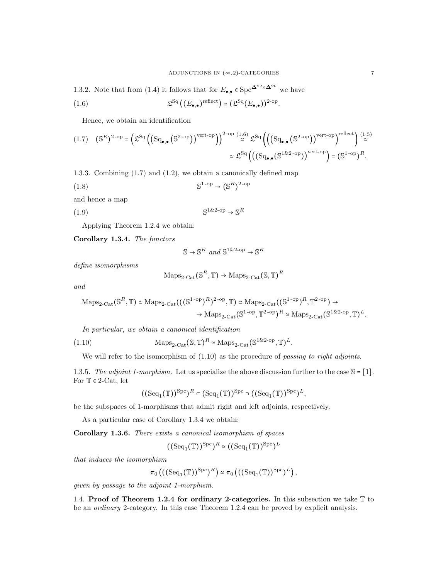1.3.2. Note that from (1.4) it follows that for  $E_{\bullet,\bullet} \in \text{Spc}^{\mathbf{\Delta}^{\text{op}}\times\mathbf{\Delta}^{\text{op}}}$  we have

(1.6) 
$$
\mathfrak{L}^{\mathrm{Sq}}\left((E_{\bullet,\bullet})^{\mathrm{reflect}}\right) \simeq (\mathfrak{L}^{\mathrm{Sq}}(E_{\bullet,\bullet}))^{2-\mathrm{op}}.
$$

Hence, we obtain an identification

$$
(1.7) \quad (\mathbb{S}^R)^{2\text{-op}} = \left(\mathfrak{L}^{\text{Sq}}\left(\left(\text{Sq}_{\bullet,\bullet}\left(\mathbb{S}^{2\text{-op}}\right)\right)^{\text{vert-op}}\right)\right)^{2\text{-op}} \stackrel{(1.6)}{\simeq} \mathfrak{L}^{\text{Sq}}\left(\left(\left(\text{Sq}_{\bullet,\bullet}\left(\mathbb{S}^{2\text{-op}}\right)\right)^{\text{vert-op}}\right)^{\text{reflect}}\right) \stackrel{(1.5)}{\simeq} \\ \simeq \mathfrak{L}^{\text{Sq}}\left(\left(\left(\text{Sq}_{\bullet,\bullet}\left(\mathbb{S}^{1\&2\text{-op}}\right)\right)^{\text{vert-op}}\right) = \left(\mathbb{S}^{1\text{-op}}\right)^{R}.
$$

1.3.3. Combining (1.7) and (1.2), we obtain a canonically defined map

(1.8) S 1 -op → (S R) 2 -op

and hence a map

$$
(1.9) \t\t S1&2-op \to SR
$$

Applying Theorem 1.2.4 we obtain:

Corollary 1.3.4. The functors

$$
\mathbb{S} \to \mathbb{S}^R \text{ and } \mathbb{S}^{1 \& 2\text{-op}} \to \mathbb{S}^R
$$

define isomorphisms

$$
\mathrm{Maps}_{2\text{-}\mathrm{Cat}}(\mathbb{S}^R, \mathbb{T}) \to \mathrm{Maps}_{2\text{-}\mathrm{Cat}}(\mathbb{S}, \mathbb{T})^R
$$

and

$$
\mathrm{Maps}_{2\text{-}\mathrm{Cat}}(\mathbb{S}^R, \mathbb{T}) \simeq \mathrm{Maps}_{2\text{-}\mathrm{Cat}}(((\mathbb{S}^{1\text{-}\mathrm{op}})^R)^{2\text{-}\mathrm{op}}, \mathbb{T}) \simeq \mathrm{Maps}_{2\text{-}\mathrm{Cat}}((\mathbb{S}^{1\text{-}\mathrm{op}})^R, \mathbb{T}^{2\text{-}\mathrm{op}}) \to \\ \to \mathrm{Maps}_{2\text{-}\mathrm{Cat}}(\mathbb{S}^{1\text{-}\mathrm{op}}, \mathbb{T}^{2\text{-}\mathrm{op}})^R \simeq \mathrm{Maps}_{2\text{-}\mathrm{Cat}}(\mathbb{S}^{1\&2\text{-}\mathrm{op}}, \mathbb{T})^L.
$$

In particular, we obtain a canonical identification

(1.10) 
$$
\text{Maps}_{2\text{-}\mathrm{Cat}}(\mathbb{S}, \mathbb{T})^R \simeq \text{Maps}_{2\text{-}\mathrm{Cat}}(\mathbb{S}^{1\&2\text{-}\mathrm{op}}, \mathbb{T})^L.
$$

We will refer to the isomorphism of  $(1.10)$  as the procedure of passing to right adjoints.

1.3.5. The adjoint 1-morphism. Let us specialize the above discussion further to the case  $\mathbb{S} = [1]$ . For  $T \in 2$ -Cat, let

$$
((\text{Seq}_1(\mathbb{T}))^{\text{Spec}})^R \subset (\text{Seq}_1(\mathbb{T}))^{\text{Spec}} \supset ((\text{Seq}_1(\mathbb{T}))^{\text{Spec}})^L,
$$

be the subspaces of 1-morphisms that admit right and left adjoints, respectively.

As a particular case of Corollary 1.3.4 we obtain:

Corollary 1.3.6. There exists a canonical isomorphism of spaces

 $((\text{Seq}_1(\mathbb{T}))^{\text{Spc}})^R \simeq ((\text{Seq}_1(\mathbb{T}))^{\text{Spc}})^L$ 

that induces the isomorphism

$$
\pi_0\left(\left(\left(\text{Seq}_1(\mathbb{T})\right)^{\text{Spc}}\right)^R\right) \simeq \pi_0\left(\left(\left(\text{Seq}_1(\mathbb{T})\right)^{\text{Spc}}\right)^L\right),
$$

given by passage to the adjoint 1-morphism.

1.4. Proof of Theorem 1.2.4 for ordinary 2-categories. In this subsection we take  $\mathbb T$  to be an ordinary 2-category. In this case Theorem 1.2.4 can be proved by explicit analysis.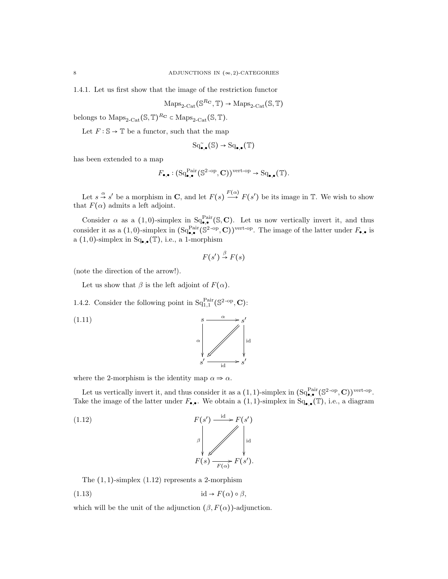1.4.1. Let us first show that the image of the restriction functor

$$
\mathrm{Maps}_{2\text{-}\mathrm{Cat}}(\mathbb{S}^{R_{\mathbf{C}}}, \mathbb{T}) \to \mathrm{Maps}_{2\text{-}\mathrm{Cat}}(\mathbb{S}, \mathbb{T})
$$

belongs to  $\text{Maps}_{2\text{-}\text{Cat}}(\mathbb{S}, \mathbb{T})^{R_{\mathbf{C}}} \subset \text{Maps}_{2\text{-}\text{Cat}}(\mathbb{S}, \mathbb{T}).$ 

Let  $F : \mathbb{S} \to \mathbb{T}$  be a functor, such that the map

$$
\mathrm{Sq}^\sim_{\bullet,\bullet}(\mathbb{S})\to\mathrm{Sq}_{\bullet,\bullet}(\mathbb{T})
$$

has been extended to a map

$$
F_{\bullet,\bullet}: (\mathrm{Sq}^{\mathrm{Pair}}_{\bullet,\bullet}(\mathbb{S}^{2\text{-op}}, \mathbf{C}))^{\mathrm{vert-op}} \to \mathrm{Sq}_{\bullet,\bullet}(\mathbb{T}).
$$

Let  $s \stackrel{\alpha}{\rightarrow} s'$  be a morphism in **C**, and let  $F(s) \stackrel{F(\alpha)}{\rightarrow} F(s')$  be its image in T. We wish to show that  $F(\alpha)$  admits a left adjoint.

Consider  $\alpha$  as a (1,0)-simplex in  $Sq_{\bullet,\bullet}^{Pair}(\mathbb{S}, \mathbb{C})$ . Let us now vertically invert it, and thus consider it as a (1,0)-simplex in  $(\mathrm{Sq}_{\bullet,\bullet}^{\mathrm{Pair}}(\mathbb{S}^{2\text{-op}}, \mathbf{C}))^{\mathrm{vert-op}}$ . The image of the latter under  $F_{\bullet,\bullet}$  is a  $(1,0)$ -simplex in  $Sq_{\bullet,\bullet}(\mathbb{T})$ , i.e., a 1-morphism

$$
F(s') \stackrel{\beta}{\rightarrow} F(s)
$$

(note the direction of the arrow!).

Let us show that  $\beta$  is the left adjoint of  $F(\alpha)$ .

1.4.2. Consider the following point in  $Sq_{1,1}^{Pair}(S^{2-op}, \mathbf{C})$ :

$$
\begin{array}{ccc}\n & & s & \xrightarrow{\alpha} & s' \\
 & & & \searrow^{\alpha} & \\
 & & & \downarrow^{\alpha} & \\
 & & & s' & \xrightarrow{\text{id}} & s'\n\end{array}
$$

where the 2-morphism is the identity map  $\alpha \Rightarrow \alpha$ .

Let us vertically invert it, and thus consider it as a  $(1,1)$ -simplex in  $(Sq_{\bullet,\bullet}^{Pair}(S^{2-op}, \mathbf{C}))^{vert-op}$ . Take the image of the latter under  $F_{\bullet,\bullet}$ . We obtain a  $(1,1)$ -simplex in  $Sq_{\bullet,\bullet}(\mathbb{T})$ , i.e., a diagram

(1.12) 
$$
F(s') \xrightarrow{\text{id}} F(s') \downarrow
$$

$$
\downarrow \downarrow
$$

$$
F(s) \xrightarrow{F(s)} F(s').
$$

The  $(1, 1)$ -simplex  $(1.12)$  represents a 2-morphism

(1.13) id → F(α) ○ β,

which will be the unit of the adjunction  $(\beta, F(\alpha))$ -adjunction.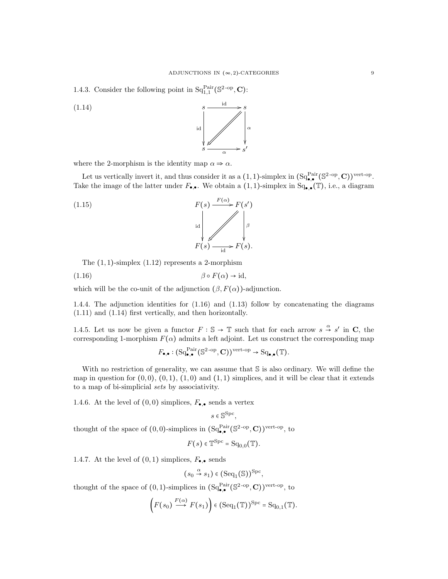1.4.3. Consider the following point in  $Sq_{1,1}^{Pair}(S^{2-op}, \mathbf{C})$ :

(1.14)  $s \xrightarrow{\text{id}} s$  $s \xrightarrow{\alpha} s$ ′ id  $\frac{1}{\alpha}$  |  $\alpha$ ŗ ľ α / *}* 

where the 2-morphism is the identity map  $\alpha \Rightarrow \alpha$ .

Let us vertically invert it, and thus consider it as a  $(1,1)$ -simplex in  $(Sq_{\bullet,\bullet}^{Pair}(S^{2-op}, \mathbf{C}))^{vert-op}$ . Take the image of the latter under  $F_{\bullet,\bullet}$ . We obtain a  $(1,1)$ -simplex in  $Sq_{\bullet,\bullet}(\mathbb{T})$ , i.e., a diagram

(1.15)  

$$
F(s) \xrightarrow{F(\alpha)} F(s')
$$
  
and  

$$
F(s) \xrightarrow{\text{id}} F(s)
$$
.

The  $(1, 1)$ -simplex  $(1.12)$  represents a 2-morphism

$$
(1.16) \qquad \beta \circ F(\alpha) \to id,
$$

which will be the co-unit of the adjunction  $(\beta, F(\alpha))$ -adjunction.

1.4.4. The adjunction identities for (1.16) and (1.13) follow by concatenating the diagrams (1.11) and (1.14) first vertically, and then horizontally.

1.4.5. Let us now be given a functor  $F : \mathbb{S} \to \mathbb{T}$  such that for each arrow  $s \stackrel{\alpha}{\to} s'$  in C, the corresponding 1-morphism  $F(\alpha)$  admits a left adjoint. Let us construct the corresponding map

$$
F_{\bullet,\bullet}: (\mathrm{Sq}^{\mathrm{Pair}}_{\bullet,\bullet}(\mathbb{S}^{2\text{-op}}, \mathbf{C}))^{\mathrm{vert-op}} \to \mathrm{Sq}_{\bullet,\bullet}(\mathbb{T}).
$$

With no restriction of generality, we can assume that  $S$  is also ordinary. We will define the map in question for  $(0, 0)$ ,  $(0, 1)$ ,  $(1, 0)$  and  $(1, 1)$  simplices, and it will be clear that it extends to a map of bi-simplicial sets by associativity.

1.4.6. At the level of  $(0,0)$  simplices,  $F_{\bullet,\bullet}$  sends a vertex

$$
s \in \mathbb{S}^{\text{Spc}},
$$

thought of the space of  $(0,0)$ -simplices in  $(Sq_{\bullet,\bullet}^{\text{Pair}}(\mathbb{S}^{2\text{-op}}, \mathbb{C}))^{\text{vert-op}}$ , to

$$
F(s) \in \mathbb{T}^{\text{Spc}} = \text{Sq}_{0,0}(\mathbb{T}).
$$

1.4.7. At the level of  $(0,1)$  simplices,  $F_{\bullet,\bullet}$  sends

$$
(s_0 \stackrel{\alpha}{\rightarrow} s_1) \in (\text{Seq}_1(\mathbb{S}))^{\text{Spc}},
$$

thought of the space of  $(0,1)$ -simplices in  $(Sq_{\bullet,\bullet}^{\text{Pair}}(\mathbb{S}^{2\text{-op}}, \mathbb{C}))^{\text{vert-op}}$ , to

$$
(F(s_0) \stackrel{F(\alpha)}{\longrightarrow} F(s_1)) \in (\text{Seq}_1(\mathbb{T}))^{\text{Spc}} = \text{Sq}_{0,1}(\mathbb{T}).
$$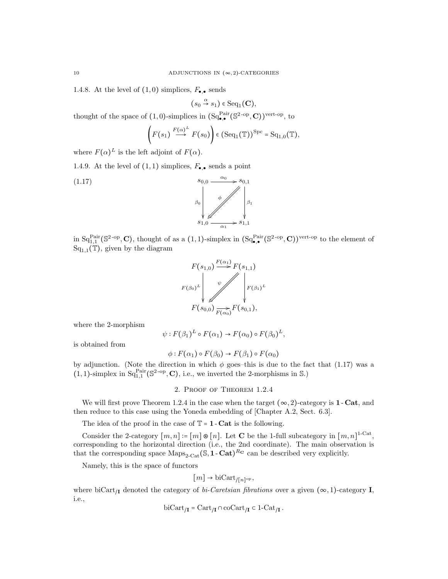1.4.8. At the level of  $(1,0)$  simplices,  $F_{\bullet,\bullet}$  sends

 $(s_0 \stackrel{\alpha}{\rightarrow} s_1) \in \text{Seq}_1(\mathbf{C}),$ 

thought of the space of  $(1,0)$ -simplices in  $(Sq_{\bullet,\bullet}^{\text{Pair}}(\mathbb{S}^{2\text{-op}}, \mathbb{C}))^{\text{vert-op}}$ , to

$$
\left(F(s_1)\stackrel{F(\alpha)^L}{\longrightarrow}F(s_0)\right)\in (\mathrm{Seq}_1(\mathbb{T}))^{\mathrm{Spc}}=\mathrm{Sq}_{1,0}(\mathbb{T}),
$$

where  $F(\alpha)^L$  is the left adjoint of  $F(\alpha)$ .

1.4.9. At the level of  $(1,1)$  simplices,  $F_{\bullet,\bullet}$  sends a point



in  $Sq_{1,1}^{\text{Pair}}(\mathbb{S}^{2\text{-op}}, \mathbf{C})$ , thought of as a  $(1,1)$ -simplex in  $Sq_{\bullet,\bullet}^{\text{Pair}}(\mathbb{S}^{2\text{-op}}, \mathbf{C}))^{\text{vert-op}}$  to the element of  $\overline{\operatorname{Sq}_{1,1}(\mathbb{T})}$ , given by the diagram



where the 2-morphism

$$
\psi: F(\beta_1)^L \circ F(\alpha_1) \to F(\alpha_0) \circ F(\beta_0)^L,
$$

is obtained from

$$
\phi: F(\alpha_1) \circ F(\beta_0) \to F(\beta_1) \circ F(\alpha_0)
$$

by adjunction. (Note the direction in which  $\phi$  goes–this is due to the fact that (1.17) was a  $(1,1)$ -simplex in  $Sq_{1,1}^{Pair}(\mathbb{S}^{2\text{-op}}, \mathbb{C})$ , i.e., we inverted the 2-morphisms in S.)

### 2. Proof of Theorem 1.2.4

We will first prove Theorem 1.2.4 in the case when the target  $(\infty, 2)$ -category is **1** - Cat, and then reduce to this case using the Yoneda embedding of [Chapter A.2, Sect. 6.3].

The idea of the proof in the case of  $\mathbb{T} = 1$ -Cat is the following.

Consider the 2-category  $[m, n] \coloneqq [m] \otimes [n]$ . Let **C** be the 1-full subcategory in  $[m, n]$ <sup>1-Cat</sup>, corresponding to the horizontal direction (i.e., the 2nd coordinate). The main observation is that the corresponding space  $\text{Maps}_{2\text{-}\text{Cat}}(\mathbb{S}, \mathbf{1}\text{-}\text{Cat})^{R_{\mathbf{C}}}$  can be described very explicitly.

Namely, this is the space of functors

$$
[m] \rightarrow \text{biCart}_{/[n]^{\text{op}}},
$$

where biCart<sub>II</sub> denoted the category of bi-Caretsian fibrations over a given  $(\infty, 1)$ -category **I**, i.e.,

$$
\mathrm{biCart}_{/\mathbf{I}} = \mathrm{Cart}_{/\mathbf{I}} \cap \mathrm{coCart}_{/\mathbf{I}} \subset 1 - \mathrm{Cat}_{/\mathbf{I}}.
$$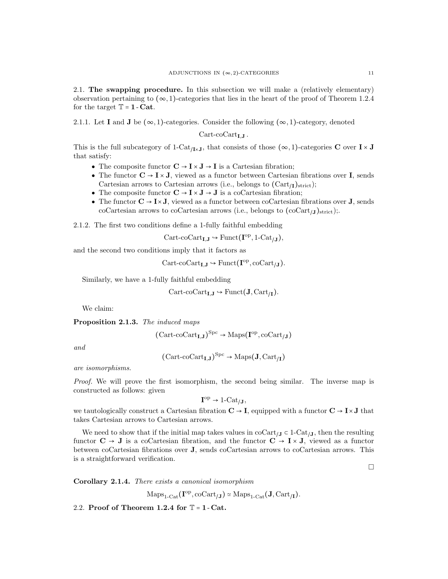2.1. The swapping procedure. In this subsection we will make a (relatively elementary) observation pertaining to  $(\infty, 1)$ -categories that lies in the heart of the proof of Theorem 1.2.4 for the target  $T = 1 - Cat$ .

2.1.1. Let I and J be  $(\infty, 1)$ -categories. Consider the following  $(\infty, 1)$ -category, denoted

 $Cart-coCart_{I,I}.$ 

This is the full subcategory of 1-Cat<sub>/I×J</sub>, that consists of those ( $\infty$ , 1)-categories **C** over I × J that satisfy:

- The composite functor  $\mathbf{C} \to \mathbf{I} \times \mathbf{J} \to \mathbf{I}$  is a Cartesian fibration;
- The functor  $\mathbf{C} \to \mathbf{I} \times \mathbf{J}$ , viewed as a functor between Cartesian fibrations over **I**, sends Cartesian arrows to Cartesian arrows (i.e., belongs to  $(\text{Cart}_{\textit{I}})_{\text{strict}})$ ;
- The composite functor  $\mathbf{C} \to \mathbf{I} \times \mathbf{J} \to \mathbf{J}$  is a coCartesian fibration;
- The functor  $\mathbf{C} \to \mathbf{I} \times \mathbf{J}$ , viewed as a functor between coCartesian fibrations over **J**, sends coCartesian arrows to coCartesian arrows (i.e., belongs to  $(\text{coCart}_{J})_{\text{strict}})$ ;.

2.1.2. The first two conditions define a 1-fully faithful embedding

 $Cart\text{-}coCart_{I,J} \rightarrow Funct(I^{op}, 1-\text{Cat}_{/J}),$ 

and the second two conditions imply that it factors as

 $Cart\text{-}coCart_{I,J} \hookrightarrow Funct(I^{op}, coCart_{J} ).$ 

Similarly, we have a 1-fully faithful embedding

$$
\operatorname{Cart-coCart}_{\mathbf{I},\mathbf{J}} \hookrightarrow \operatorname{Funct}(\mathbf{J}, \operatorname{Cart}_{/\mathbf{I}}).
$$

We claim:

Proposition 2.1.3. The induced maps

$$
(\operatorname{Cart-coCart}_{\mathbf{I},\mathbf{J}})^{\operatorname{Spc}} \to \operatorname{Maps}(\mathbf{I}^{\operatorname{op}}, \operatorname{coCart}_{/\mathbf{J}})
$$

and

$$
(\operatorname{Cart-coCart}_{\mathbf{I},\mathbf{J}})^{\operatorname{Spc}} \to \operatorname{Maps}(\mathbf{J}, \operatorname{Cart}_{/\mathbf{I}})
$$

are isomorphisms.

Proof. We will prove the first isomorphism, the second being similar. The inverse map is constructed as follows: given

$$
\mathbf{I}^{\mathrm{op}} \to \mathbf{1}\text{-}\mathrm{Cat}_{\mathbf{J}}\mathbf{,}
$$

we tautologically construct a Cartesian fibration  $C \rightarrow I$ , equipped with a functor  $C \rightarrow I \times J$  that takes Cartesian arrows to Cartesian arrows.

We need to show that if the initial map takes values in coCart<sub>/J</sub>  $\subset$  1-Cat<sub>/J</sub>, then the resulting functor  $C \to J$  is a coCartesian fibration, and the functor  $C \to I \times J$ , viewed as a functor between coCartesian fibrations over J, sends coCartesian arrows to coCartesian arrows. This is a straightforward verification.

 $\Box$ 

Corollary 2.1.4. There exists a canonical isomorphism

 $\text{Maps}_{1\text{-}\text{Cat}}(\mathbf{I}^{\text{op}}, \text{coCart}_{JJ}) \simeq \text{Maps}_{1\text{-}\text{Cat}}(\mathbf{J}, \text{Cart}_{JI}).$ 

2.2. Proof of Theorem 1.2.4 for  $T = 1 - \text{Cat}$ .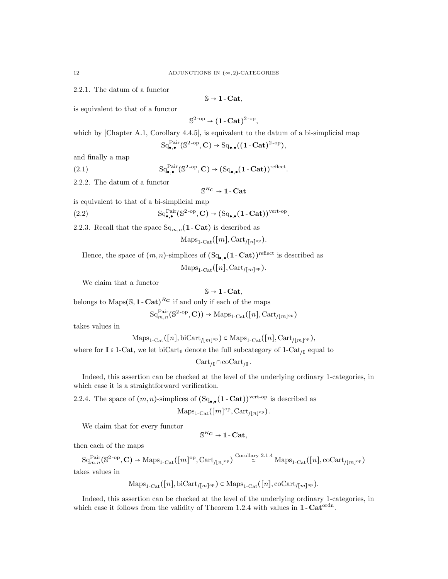2.2.1. The datum of a functor

$$
\mathbb{S} \to 1\text{-}\mathbf{Cat},
$$

is equivalent to that of a functor

$$
\mathbb{S}^{2\text{-op}}\to (1\text{-}\mathbf{Cat})^{2\text{-op}},
$$

which by [Chapter A.1, Corollary 4.4.5], is equivalent to the datum of a bi-simplicial map

$$
\mathrm{Sq}_{\bullet,\bullet}^{\mathrm{Pair}}(\mathbb{S}^{2\text{-op}}, \mathbf{C}) \to \mathrm{Sq}_{\bullet,\bullet}((1\text{-}\mathbf{Cat})^{2\text{-op}}),
$$

and finally a map

(2.1) 
$$
\mathrm{Sq}_{\bullet,\bullet}^{\mathrm{Pair}}(\mathbb{S}^{2\text{-op}}, \mathbf{C}) \to (\mathrm{Sq}_{\bullet,\bullet}(\mathbf{1}\text{-}\mathbf{Cat}))^{\mathrm{reflect}}.
$$

2.2.2. The datum of a functor

$$
\mathbb{S}^{R_\mathbf{C}} \to \mathbf{1}\text{-}\mathbf{Cat}
$$

.

is equivalent to that of a bi-simplicial map

(2.2) 
$$
\mathrm{Sq}_{\bullet,\bullet}^{\mathrm{Pair}}(\mathbb{S}^{2\text{-op}}, \mathbf{C}) \to (\mathrm{Sq}_{\bullet,\bullet}(\mathbf{1}\text{-}\mathbf{Cat}))^{\mathrm{vert-op}}
$$

2.2.3. Recall that the space  $\text{Sq}_{m,n}(\textbf{1-Cat})$  is described as

 $\mathrm{Maps}_{1\text{-}\mathrm{Cat}}([m], \mathrm{Cart}_{/[n]^{\mathrm{op}}}).$ 

Hence, the space of  $(m, n)$ -simplices of  $(Sq_{\bullet,\bullet}(1 - \text{Cat}))^{\text{reflect}}$  is described as

 $\mathrm{Maps}_{1\text{-}\mathrm{Cat}}([n], \mathrm{Cart}_{/[m]^{\mathrm{op}}}).$ 

We claim that a functor

$$
\mathbb{S} \to 1\text{-}\mathbf{Cat},
$$

belongs to Maps $(\mathbb{S}, 1-\text{Cat})^{R_{\mathbf{C}}}$  if and only if each of the maps

$$
\mathrm{Sq}_{m,n}^{\mathrm{Pair}}(\mathbb{S}^{2\text{-op}}, \mathbf{C})) \to \mathrm{Maps}_{1\text{-Cat}}([n], \mathrm{Cart}_{/[m]^{\mathrm{op}}})
$$

takes values in

$$
\mathrm{Maps}_{1\text{-}\mathrm{Cat}}([n], \mathrm{biCart}_{/[m]^{\mathrm{op}}}) \subset \mathrm{Maps}_{1\text{-}\mathrm{Cat}}([n], \mathrm{Cart}_{/[m]^{\mathrm{op}}}),
$$

where for  $I \in 1$ -Cat, we let biCart<sub>I</sub> denote the full subcategory of  $1$ -Cat<sub>II</sub> equal to

 $\text{Cart}_{\textsf{\scriptsize\textsf{\scriptsize\textsf{\scriptsize\textsf{\scriptsize\textsf{\scriptsize\textsf{\scriptsize\textsf{\scriptsize\textsf{\scriptsize\textsf{\scriptsize\textsf{\scriptsize\textsf{\scriptsize\textsf{\scriptsize\textsf{\scriptsize\textsf{\scriptsize\textsf{\scriptsize\textsf{\scriptsize\textsf{\scriptsize\textsf{\scriptsize\textsf{\scriptsize\textsf{\scriptsize\textsf{\scriptsize\textsf{\scriptsize\textsf{\scriptsize\textsf{\scriptsize\textsf{\scriptsize\textsf{\scriptsize\textsf{\scriptsize\textsf{\scriptsize\textsf{\scriptsize\textsf{\scriptsize\textsf{\scriptsize\textsf{\scriptsize\textsf{\scriptsize\textsf{\scriptsize\textsf{\scriptsize\textsf{\script$ 

Indeed, this assertion can be checked at the level of the underlying ordinary 1-categories, in which case it is a straightforward verification.

2.2.4. The space of  $(m, n)$ -simplices of  $(Sq_{\bullet,\bullet}(1 - \mathbf{Cat}))^{\text{vert-op}}$  is described as

$$
Maps_{1\text{-Cat}}([m]^\text{op}, \text{Cart}_{/[n]^\text{op}}).
$$

We claim that for every functor

$$
\mathbb{S}^{R_{\bf C}} \to 1\text{-}\mathbf{Cat},
$$

then each of the maps

 $\mathrm{Sq}_{m,n}^{\mathrm{Pair}}(\mathbb{S}^{2\text{-op}}, \mathbf{C}) \to \mathrm{Maps}_{1\text{-}\mathrm{Cat}}([m]^{\mathrm{op}}, \mathrm{Cart}_{/[n]^{\mathrm{op}}}) \stackrel{\mathrm{Corollary}\ 2.1.4}{\simeq} \mathrm{Maps}_{1\text{-}\mathrm{Cat}}([n], \mathrm{coCart}_{/[m]^{\mathrm{op}}})$ takes values in

$$
\mathrm{Maps}_{1\text{-}\mathrm{Cat}}([n], \mathrm{biCart}_{/[m]^{\mathrm{op}}}) \subset \mathrm{Maps}_{1\text{-}\mathrm{Cat}}([n], \mathrm{coCart}_{/[m]^{\mathrm{op}}}).
$$

Indeed, this assertion can be checked at the level of the underlying ordinary 1-categories, in which case it follows from the validity of Theorem 1.2.4 with values in  $1$ -Cat<sup>ordn</sup>.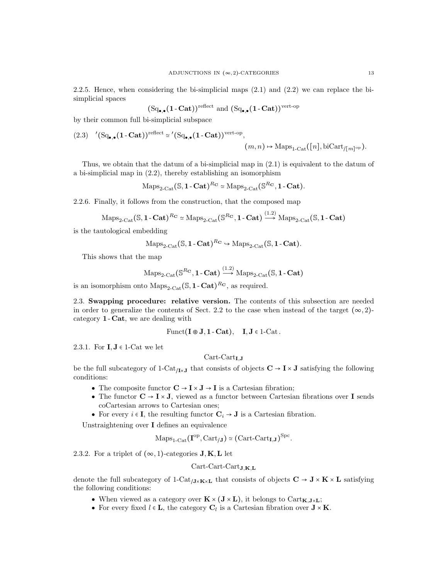2.2.5. Hence, when considering the bi-simplicial maps (2.1) and (2.2) we can replace the bisimplicial spaces

$$
(Sq_{\bullet,\bullet}(1\text{-}\mathbf{Cat}))^{\text{reflect}}
$$
 and  $(Sq_{\bullet,\bullet}(1\text{-}\mathbf{Cat}))^{\text{vert-op}}$ 

by their common full bi-simplicial subspace

$$
(2.3) \quad (\mathrm{Sq}_{\bullet,\bullet}(1-\mathbf{Cat}))^{\text{reflect}} \simeq (\mathrm{Sq}_{\bullet,\bullet}(1-\mathbf{Cat}))^{\text{vert-op}}, \quad (m,n) \mapsto \mathrm{Maps}_{1-\mathrm{Cat}}([n],\mathrm{biCart}_{/[m]^{\text{op}}}).
$$

Thus, we obtain that the datum of a bi-simplicial map in (2.1) is equivalent to the datum of a bi-simplicial map in (2.2), thereby establishing an isomorphism

$$
\mathrm{Maps}_{2\text{-}\mathrm{Cat}}(\mathbb{S}, 1\text{-}\mathbf{Cat})^{R_{\mathbf{C}}} \simeq \mathrm{Maps}_{2\text{-}\mathrm{Cat}}(\mathbb{S}^{R_{\mathbf{C}}}, 1\text{-}\mathbf{Cat}).
$$

2.2.6. Finally, it follows from the construction, that the composed map

$$
\mathrm{Maps}_{2\text{-Cat}}(\mathbb{S}, 1\text{-}\mathbf{Cat})^{R_{\mathbf{C}}} \simeq \mathrm{Maps}_{2\text{-}\mathrm{Cat}}(\mathbb{S}^{R_{\mathbf{C}}}, 1\text{-}\mathbf{Cat}) \xrightarrow{(1.2)} \mathrm{Maps}_{2\text{-}\mathrm{Cat}}(\mathbb{S}, 1\text{-}\mathbf{Cat})
$$

 $(1, 2)$ 

is the tautological embedding

$$
\mathrm{Maps}_{2\text{-}\mathrm{Cat}}(\mathbb{S}, 1\text{-}\mathbf{Cat})^{R_{\mathbf{C}}} \hookrightarrow \mathrm{Maps}_{2\text{-}\mathrm{Cat}}(\mathbb{S}, 1\text{-}\mathbf{Cat}).
$$

This shows that the map

$$
\mathrm{Maps}_{2\text{-}\mathrm{Cat}}(\mathbb{S}^{R_{\mathbf{C}}}, \mathbf{1}\text{-}\mathbf{Cat}) \xrightarrow{(1.2)} \mathrm{Maps}_{2\text{-}\mathrm{Cat}}(\mathbb{S}, \mathbf{1}\text{-}\mathbf{Cat})
$$

is an isomorphism onto  $\text{Maps}_{2\text{-}\text{Cat}}(\mathbb{S}, 1\text{-}\text{Cat})^{R_{\mathbf{C}}}$ , as required.

2.3. Swapping procedure: relative version. The contents of this subsection are needed in order to generalize the contents of Sect. 2.2 to the case when instead of the target  $(\infty, 2)$ category 1 - Cat, we are dealing with

$$
Funct(I \otimes J, 1 - Cat), \quad I, J \in 1 - Cat.
$$

2.3.1. For  $I, J \in 1$ -Cat we let

## $Cart$ -Cart $_{IJ}$

be the full subcategory of 1-Cat<sub>/I×J</sub> that consists of objects  $C \to I \times J$  satisfying the following conditions:

- The composite functor  $\mathbf{C} \to \mathbf{I} \times \mathbf{J} \to \mathbf{I}$  is a Cartesian fibration;
- $\bullet\,$  The functor  ${\bf C}\to{\bf I}\times{\bf J},$  viewed as a functor between Cartesian fibrations over  ${\bf I}$  sends coCartesian arrows to Cartesian ones;
- For every  $i \in I$ , the resulting functor  $C_i \rightarrow J$  is a Cartesian fibration.

Unstraightening over I defines an equivalence

$$
\mathrm{Maps}_{1\text{-}\mathrm{Cat}}(\mathbf{I}^{\mathrm{op}}, \mathrm{Cart}_{\mathcal{J}}) \simeq (\mathrm{Cart}\text{-}\mathrm{Cart}_{\mathbf{I},\mathbf{J}})^{\mathrm{Spc}}.
$$

2.3.2. For a triplet of  $(\infty, 1)$ -categories **J**, **K**, **L** let

$$
\operatorname{Cart-Cart-Cart}_{\mathbf{J},\mathbf{K},\mathbf{L}}
$$

denote the full subcategory of 1-Cat<sub>/J×K×L</sub> that consists of objects  $C \rightarrow J \times K \times L$  satisfying the following conditions:

- $\bullet\,$  When viewed as a category over  ${\bf K}\times({\bf J}\times{\bf L}),$  it belongs to  $\rm Cart_{{\bf K},{\bf J}\times{\bf L}};$
- For every fixed  $l \in L$ , the category  $C_l$  is a Cartesian fibration over  $J \times K$ .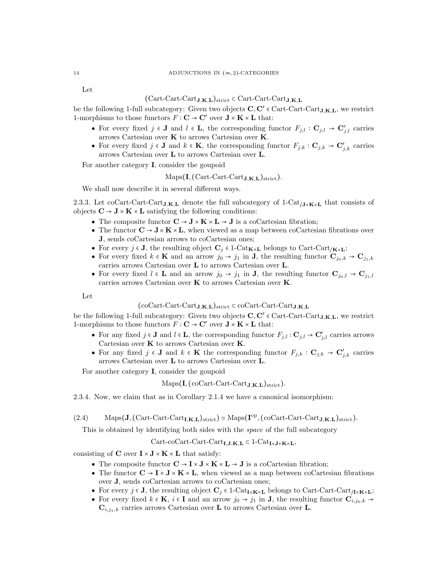Let

# $(Cart-Cart_Cart_J,K,L)$ strict ⊂ Cart-Cart-Cart $J,K,L$

be the following 1-full subcategory: Given two objects  $C, C' \in \text{Cart-Cart}\text{-}\text{CartJ,K,L}$ , we restrict 1-morphisms to those functors  $F: \mathbf{C} \to \mathbf{C}'$  over  $\mathbf{J} \times \mathbf{K} \times \mathbf{L}$  that:

- For every fixed  $j \in J$  and  $l \in L$ , the corresponding functor  $F_{j,l} : \mathbf{C}_{j,l} \to \mathbf{C}'_{j,l}$  carries arrows Cartesian over K to arrows Cartesian over K.
- For every fixed  $j \in \mathbf{J}$  and  $k \in \mathbf{K}$ , the corresponding functor  $F_{j,k} : \mathbf{C}_{j,k} \to \mathbf{C}'_{j,k}$  carries arrows Cartesian over L to arrows Cartesian over L.

For another category I, consider the goupoid

$$
\mathrm{Maps}(I, (\mathrm{Cart-Cart-Cart}_{J,K,L})_{\mathrm{strict}}).
$$

We shall now describe it in several different ways.

2.3.3. Let coCart-Cart-Cart<sub>J,K,L</sub> denote the full subcategory of 1-Cat<sub>/J×K×L</sub> that consists of objects  $C \rightarrow J \times K \times L$  satisfying the following conditions:

- The composite functor  $C \rightarrow J \times K \times L \rightarrow J$  is a coCartesian fibration;
- The functor  $\mathbf{C} \to \mathbf{J} \times \mathbf{K} \times \mathbf{L}$ , when viewed as a map between coCartesian fibrations over J, sends coCartesian arrows to coCartesian ones;
- For every  $j \in J$ , the resulting object  $C_j \in 1-\text{Cat}_{K \times L}$  belongs to Cart-Cart<sub>/K×L</sub>;
- For every fixed  $k \in \mathbf{K}$  and an arrow  $j_0 \to j_1$  in **J**, the resulting functor  $\mathbf{C}_{j_0,k} \to \mathbf{C}_{j_1,k}$ carries arrows Cartesian over L to arrows Cartesian over L.
- For every fixed  $l \in L$  and an arrow  $j_0 \to j_1$  in J, the resulting functor  $\mathbf{C}_{j_0,l} \to \mathbf{C}_{j_1,l}$ carries arrows Cartesian over K to arrows Cartesian over K.

Let

### $(\text{coCart-Cart-Cart}_{J,K,L})_{\text{strict}} \subset \text{coCart-Cart-Cart}_{J,K,L}$

be the following 1-full subcategory: Given two objects  $C, C' \in \text{Cart-Cart}\text{-}\text{CartJ,K,L}$ , we restrict 1-morphisms to those functors  $F: \mathbf{C} \to \mathbf{C}'$  over  $\mathbf{J} \times \mathbf{K} \times \mathbf{L}$  that:

- For any fixed  $j \in J$  and  $l \in L$ , the corresponding functor  $F_{j,l} : \mathbf{C}_{j,l} \to \mathbf{C}'_{j,l}$  carries arrows Cartesian over  $K$  to arrows Cartesian over  $K$ .
- For any fixed  $j \in \mathbf{J}$  and  $k \in \mathbf{K}$  the corresponding functor  $F_{j,k} : \mathbf{C}_{j,k} \to \mathbf{C}'_{j,k}$  carries arrows Cartesian over L to arrows Cartesian over L.

For another category I, consider the goupoid

 $Maps(I, (coCart-Cart-Cart<sub>J.K.L.</sub>)<sub>strict</sub>).$ 

2.3.4. Now, we claim that as in Corollary 2.1.4 we have a canonical isomorphism:

 $(2.4)$  Maps $(\mathbf{J}, (\text{Cart-Cart-Cart}_{\mathbf{I},\mathbf{K},\mathbf{L}})_{\text{strict}}) \simeq \text{Maps}(\mathbf{I}^{\text{op}}, (\text{coCart-Cart-Cart}_{\mathbf{J},\mathbf{K},\mathbf{L}})_{\text{strict}}).$ 

This is obtained by identifying both sides with the *space* of the full subcategory

 $Cart\text{-} \mathrm{Cart}\text{-}\mathrm{Cart}\text{-}\mathrm{Cart}\text{-}\mathrm{J}\text{-}\mathbf{K}$ ,  $\mathbf{L} \subset 1\text{-}\mathrm{Cat}_{\mathbf{I} \times \mathbf{J} \times \mathbf{K} \times \mathbf{L}}$ ,

consisting of  $C$  over  $I \times J \times K \times L$  that satisfy:

- The composite functor  $\mathbf{C} \to \mathbf{I} \times \mathbf{J} \times \mathbf{K} \times \mathbf{L} \to \mathbf{J}$  is a coCartesian fibration;
- The functor  $\mathbf{C} \to \mathbf{I} \times \mathbf{J} \times \mathbf{K} \times \mathbf{L}$ , when viewed as a map between coCartesian fibrations over J, sends coCartesian arrows to coCartesian ones;
- For every  $j \in J$ , the resulting object  $C_j \in 1$ -Cat<sub>I×K×L</sub> belongs to Cart-Cart<sub>/I×K×L</sub>;
- For every fixed  $k \in \mathbf{K}$ ,  $i \in \mathbf{I}$  and an arrow  $j_0 \to j_1$  in **J**, the resulting functor  $\mathbf{C}_{i,j_0,k} \to$  $\mathbf{C}_{i,j_1,k}$  carries arrows Cartesian over **L** to arrows Cartesian over **L**.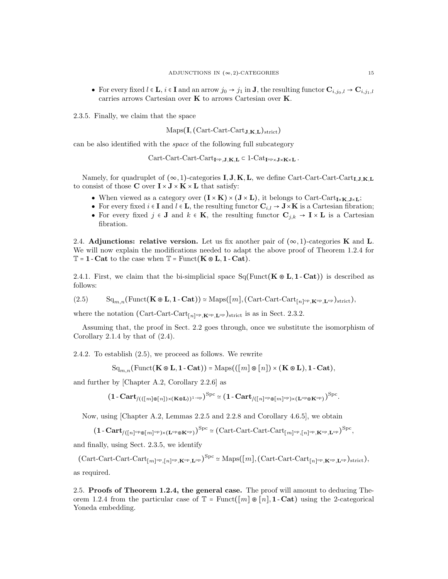• For every fixed  $l \in \mathbf{L}$ ,  $i \in \mathbf{I}$  and an arrow  $j_0 \to j_1$  in **J**, the resulting functor  $\mathbf{C}_{i,j_0,l} \to \mathbf{C}_{i,j_1,l}$ carries arrows Cartesian over K to arrows Cartesian over K.

2.3.5. Finally, we claim that the space

 $Maps(I, (Cart-Cart-CartJ,K,L)_{strict})$ 

can be also identified with the space of the following full subcategory

 $Cart-Cart-Cart-Cart_{I^{op},J,K,L} \subset 1-Cat_{I^{op}\times J\times K\times L}$ .

Namely, for quadruplet of  $(\infty, 1)$ -categories **I**, **J**, **K**, **L**, we define Cart-Cart-Cart<sub>-Cart</sub><sub>L</sub>, J, K, L to consist of those C over  $I \times J \times K \times L$  that satisfy:

- When viewed as a category over  $(I \times K) \times (J \times L)$ , it belongs to Cart-Cart<sub>I×K</sub>,  $J \times L$ ;
- For every fixed  $i \in I$  and  $l \in L$ , the resulting functor  $\mathbf{C}_{i,l} \to \mathbf{J} \times \mathbf{K}$  is a Cartesian fibration;
- For every fixed  $j \in \mathbf{J}$  and  $k \in \mathbf{K}$ , the resulting functor  $\mathbf{C}_{j,k} \to \mathbf{I} \times \mathbf{L}$  is a Cartesian fibration.

2.4. Adjunctions: relative version. Let us fix another pair of  $(\infty, 1)$ -categories K and L. We will now explain the modifications needed to adapt the above proof of Theorem 1.2.4 for  $\mathbb{T} = 1$  - Cat to the case when  $\mathbb{T} =$  Funct( $\mathbf{K} \otimes \mathbf{L}$ , 1 - Cat).

2.4.1. First, we claim that the bi-simplicial space  $Sq(Funct(K \otimes L, 1 - Cat))$  is described as follows:

 $(S_1)$  Sq<sub>m,n</sub>(Funct(**K**  $\otimes$  **L**, 1 - Cat)) ≃ Maps([*m*], (Cart-Cart-Cart<sub>[*n*]<sup>op</sup>,**K**<sup>op</sup>,**L**<sup>op</sup>)strict),</sub>

where the notation (Cart-Cart-Cart<sub>[n]</sub><sup>op</sup>, $\kappa$ <sup>op</sup>, $L$ <sup>op</sup>)<sub>strict</sub> is as in Sect. 2.3.2.

Assuming that, the proof in Sect. 2.2 goes through, once we substitute the isomorphism of Corollary 2.1.4 by that of  $(2.4)$ .

2.4.2. To establish (2.5), we proceed as follows. We rewrite

 $\operatorname{Sq}_{m,n}(\operatorname{Funct}(\mathbf{K} \otimes \mathbf{L}, \mathbf{1} - \mathbf{Cat})) = \operatorname{Maps}((\lfloor m \rfloor \otimes \lfloor n \rfloor) \times (\mathbf{K} \otimes \mathbf{L}), \mathbf{1} - \mathbf{Cat}),$ 

and further by [Chapter A.2, Corollary 2.2.6] as

 $(1\text{-}{\bf Cart}_{/(([m]\otimes[\![n])\times({\bf K}\otimes {\bf L}))^{1\text{-op}}})^{{\rm Spc}}\simeq (1\text{-}{\bf Cart}_{/([n]^{\rm op}\otimes[\![m]^{\rm op})\times({\bf L}^{\rm op}\otimes{\bf K}^{\rm op})})^{{\rm Spc}}.$ 

Now, using [Chapter A.2, Lemmas 2.2.5 and 2.2.8 and Corollary 4.6.5], we obtain

 $(1 - \text{Cart}_{/([n]^{\text{op}} \otimes [m]^{\text{op}}) \times (\mathbf{L}^{\text{op}} \otimes \mathbf{K}^{\text{op}})})^{\text{Spc}} \simeq (\text{Cart-Cart-Cart-Cart}_{[m]^{\text{op}},[n]^{\text{op}},\mathbf{K}^{\text{op}},\mathbf{L}^{\text{op}}})^{\text{Spc}},$ 

and finally, using Sect. 2.3.5, we identify

 $(\text{Cart-Cart-Cart}_{[m]^\text{op},[n]^\text{op},\mathbf{K}^\text{op},\mathbf{L}^\text{op}})^\text{Spec} \simeq \text{Maps}([m],(\text{Cart-Cart-Cart}_{[n]^\text{op},\mathbf{K}^\text{op},\mathbf{L}^\text{op}})_{\text{strict}}),$ as required.

2.5. Proofs of Theorem 1.2.4, the general case. The proof will amount to deducing Theorem 1.2.4 from the particular case of  $\mathbb{T}$  = Funct( $[m] \otimes [n]$ , **1** - Cat) using the 2-categorical Yoneda embedding.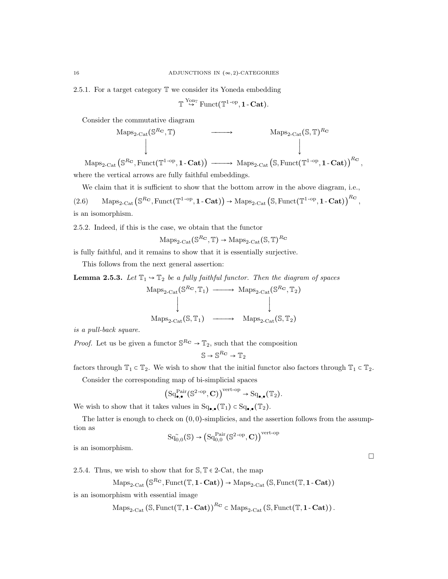2.5.1. For a target category T we consider its Yoneda embedding

$$
\mathbb{T} \stackrel{\mathrm{Y}_{\mathrm{on}_\mathbb{T}}}{\hookrightarrow} \mathrm{Funct}(\mathbb{T}^{1\text{-op}},\mathbf{1}\text{-}\mathbf{Cat}).
$$

Consider the commutative diagram

$$
\begin{array}{ccc}\n\text{Maps}_{2\text{-Cat}}(\mathbb{S}^{R_{\mathbf{C}}}, \mathbb{T}) & \longrightarrow & \text{Maps}_{2\text{-Cat}}(\mathbb{S}, \mathbb{T})^{R_{\mathbf{C}}} \\
\downarrow & & \downarrow \\
\text{S}^{R_{\mathbf{C}}}\text{ Funct}(\mathbb{T}^{1-\text{OD } 1}, \mathbf{Cat}) & \downarrow & \downarrow \\
\end{array}
$$

 $\mathrm{Maps}_{2\text{-}\mathrm{Cat}}\left( \mathbb{S}^{R_{\mathbf{C}}}, \mathrm{Funct}(\mathbb{T}^{1\text{-}\mathrm{op}},\mathbf{1\text{-}Cat}) \right) \xrightarrow{\hspace*{1.5cm}} \mathrm{Maps}_{2\text{-}\mathrm{Cat}}\left( \mathbb{S}, \mathrm{Funct}(\mathbb{T}^{1\text{-}\mathrm{op}},\mathbf{1\text{-}Cat}) \right)^{R_{\mathbf{C}}},$ where the vertical arrows are fully faithful embeddings.

We claim that it is sufficient to show that the bottom arrow in the above diagram, i.e.,

 $(2.6)$  Maps<sub>2-Cat</sub>  $(\mathbb{S}^{R_{\mathbf{C}}}, \text{Funct}(\mathbb{T}^{1-\text{op}}, 1-\mathbf{Cat})) \rightarrow \text{Maps}_{2-\text{Cat}}(\mathbb{S}, \text{Funct}(\mathbb{T}^{1-\text{op}}, 1-\mathbf{Cat}))^{R_{\mathbf{C}}},$ is an isomorphism.

2.5.2. Indeed, if this is the case, we obtain that the functor

$$
\mathrm{Maps}_{2\text{-}\mathrm{Cat}}(\mathbb{S}^{R_{\mathbf{C}}}, \mathbb{T}) \to \mathrm{Maps}_{2\text{-}\mathrm{Cat}}(\mathbb{S}, \mathbb{T})^{R_{\mathbf{C}}}
$$

is fully faithful, and it remains to show that it is essentially surjective.

This follows from the next general assertion:

**Lemma 2.5.3.** Let  $\mathbb{T}_1 \rightarrow \mathbb{T}_2$  be a fully faithful functor. Then the diagram of spaces

$$
\begin{array}{ccc}\n\text{Maps}_{2\text{-}\mathrm{Cat}}(\mathbb{S}^{R_{\mathbf{C}}}, \mathbb{T}_{1}) & \longrightarrow & \text{Maps}_{2\text{-}\mathrm{Cat}}(\mathbb{S}^{R_{\mathbf{C}}}, \mathbb{T}_{2}) \\
\downarrow & & \downarrow \\
\text{Maps}_{2\text{-}\mathrm{Cat}}(\mathbb{S}, \mathbb{T}_{1}) & \longrightarrow & \text{Maps}_{2\text{-}\mathrm{Cat}}(\mathbb{S}, \mathbb{T}_{2})\n\end{array}
$$

is a pull-back square.

*Proof.* Let us be given a functor  $\mathbb{S}^{R_{\mathbf{C}}} \to \mathbb{T}_2$ , such that the composition

$$
\mathbb{S} \to \mathbb{S}^{R_{\mathbf{C}}} \to \mathbb{T}_2
$$

factors through  $\mathbb{T}_1 \subset \mathbb{T}_2$ . We wish to show that the initial functor also factors through  $\mathbb{T}_1 \subset \mathbb{T}_2$ .

Consider the corresponding map of bi-simplicial spaces

$$
\left(\mathrm{Sq}^{\mathrm{Pair}}_{\bullet,\bullet}(\mathbb{S}^{2\text{-op}}, \mathbf{C})\right)^{\mathrm{vert-op}} \to \mathrm{Sq}_{\bullet,\bullet}(\mathbb{T}_2).
$$

We wish to show that it takes values in  $Sq_{\bullet,\bullet}(\mathbb{T}_1) \subset Sq_{\bullet,\bullet}(\mathbb{T}_2)$ .

The latter is enough to check on  $(0, 0)$ -simplicies, and the assertion follows from the assumption as  $p$ 

$$
\mathrm{Sq}^{\sim}_{0,0}(\mathbb{S}) \rightarrow \left(\mathrm{Sq}^{\mathrm{Pair}}_{0,0}(\mathbb{S}^{2\text{-op}}, \mathbf{C})\right)^{\mathrm{vert}\text{-o}}
$$

 $\Box$ 

is an isomorphism.

2.5.4. Thus, we wish to show that for  $\mathcal{S}, \mathbb{T} \in 2$ -Cat, the map

$$
\mathrm{Maps}_{2\text{-}\mathrm{Cat}}\left(\mathbb{S}^{R\mathbf{c}},\mathrm{Funct}(\mathbb{T},\mathbf{1}\text{-}\mathbf{Cat})\right)\rightarrow\mathrm{Maps}_{2\text{-}\mathrm{Cat}}\left(\mathbb{S},\mathrm{Funct}(\mathbb{T},\mathbf{1}\text{-}\mathbf{Cat})\right)
$$

is an isomorphism with essential image

$$
\mathrm{Maps}_{2\text{-}\mathrm{Cat}}\left(\mathbb{S}, \mathrm{Funct}(\mathbb{T}, \mathbf{1}\text{-}\mathbf{Cat})\right)^{R_{\mathbf{C}}} \subset \mathrm{Maps}_{2\text{-}\mathrm{Cat}}\left(\mathbb{S}, \mathrm{Funct}(\mathbb{T}, \mathbf{1}\text{-}\mathbf{Cat})\right).
$$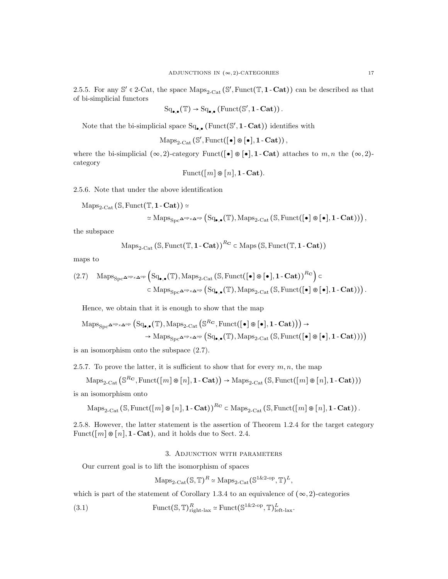2.5.5. For any  $\mathbb{S}' \in 2$ -Cat, the space  $\text{Maps}_{2-\text{Cat}}(\mathbb{S}', \text{Funct}(\mathbb{T}, 1-\text{Cat}))$  can be described as that of bi-simplicial functors

$$
\mathrm{Sq}_{\bullet,\bullet}(\mathbb{T}) \to \mathrm{Sq}_{\bullet,\bullet}\left(\mathrm{Funct}(\mathbb{S}',\mathbf{1}\text{-}\mathbf{Cat})\right).
$$

Note that the bi-simplicial space  $Sq_{\bullet,\bullet}$  (Funct( $\mathcal{S}', \mathbf{1}-\mathbf{Cat}$ )) identifies with

 $\text{Maps}_{2\text{-}\text{Cat}}(\mathbb{S}', \text{Funct}([\bullet] \circledast [\bullet], \mathbf{1}\text{-}\textbf{Cat})),$ 

where the bi-simplicial  $(\infty, 2)$ -category Funct( $\lceil \cdot \rceil \otimes \lceil \cdot \rceil$ , 1 - Cat) attaches to m, n the  $(\infty, 2)$ category

$$
Funct([m] \otimes [n], \mathbf{1}\text{-}\mathbf{Cat}).
$$

2.5.6. Note that under the above identification

 $\text{Maps}_{2\text{-}\text{Cat}}(\mathbb{S}, \text{Funct}(\mathbb{T}, 1\text{-}\text{Cat})) \simeq$ 

$$
\simeq \mathrm{Maps}_{\mathrm{Spc}^{\mathbf{\Delta}^\mathrm{op}\times\mathbf{\Delta}^\mathrm{op}}} \left(\mathrm{Sq}_{\bullet,\bullet}(\mathbb{T}),\mathrm{Maps}_{2\text{-}\mathrm{Cat}}\left(\mathbb{S},\mathrm{Funct}(\llbracket\bullet\rrbracket\circledast\llbracket\bullet\rrbracket,1\text{-}\mathbf{Cat})\right)\right),
$$

the subspace

$$
\mathrm{Maps}_{2\text{-}\mathrm{Cat}}\left( \mathbb{S}, \mathrm{Funct}(\mathbb{T}, \mathbf{1}\text{-}\mathbf{Cat}) \right)^{R_{\mathbf{C}}} \subset \mathrm{Maps}\left( \mathbb{S}, \mathrm{Funct}(\mathbb{T}, \mathbf{1}\text{-}\mathbf{Cat}) \right)
$$

maps to

$$
(2.7) \quad \mathrm{Maps}_{\mathrm{Spc}^{\mathbf{\Delta}^{\mathrm{op}}\times\mathbf{\Delta}^{\mathrm{op}}}}\left(\mathrm{Sq}_{\bullet,\bullet}(\mathbb{T}),\mathrm{Maps}_{2\text{-Cat}}\left(\mathbb{S},\mathrm{Funct}([\bullet]\circledast[\bullet],\mathbf{1}\text{-}\mathbf{Cat})\right)^{R_{\mathbf{C}}}\right)\subset\\\qquad \qquad \subset \mathrm{Maps}_{\mathrm{Spc}^{\mathbf{\Delta}^{\mathrm{op}}\times\mathbf{\Delta}^{\mathrm{op}}}}\left(\mathrm{Sq}_{\bullet,\bullet}(\mathbb{T}),\mathrm{Maps}_{2\text{-Cat}}\left(\mathbb{S},\mathrm{Funct}([\bullet]\circledast[\bullet],\mathbf{1}\text{-}\mathbf{Cat})\right)\right).
$$

Hence, we obtain that it is enough to show that the map

$$
\begin{aligned} \mathrm{Maps}_{\mathrm{Spc}^{\mathbf{\Delta}^{\mathrm{op}}\times\mathbf{\Delta}^{\mathrm{op}}}}\left(\mathrm{Sq}_{\bullet,\bullet}(\mathbb{T}),\mathrm{Maps}_{2\text{-}\mathrm{Cat}}\left(\mathbb{S}^{R\mathbf{C}},\mathrm{Funct}([\bullet]\circledast[\bullet],\mathbf{1}\text{-}\mathbf{Cat})\right)\right) &\rightarrow \\ &\rightarrow \mathrm{Maps}_{\mathrm{Spc}^{\mathbf{\Delta}^{\mathrm{op}}\times\mathbf{\Delta}^{\mathrm{op}}}}\left(\mathrm{Sq}_{\bullet,\bullet}(\mathbb{T}),\mathrm{Maps}_{2\text{-}\mathrm{Cat}}\left(\mathbb{S},\mathrm{Funct}([\bullet]\circledast[\bullet],\mathbf{1}\text{-}\mathbf{Cat})\right)\right)\right) \end{aligned}
$$

is an isomorphism onto the subspace (2.7).

2.5.7. To prove the latter, it is sufficient to show that for every  $m, n$ , the map

$$
\operatorname{Maps}_{2\text{-}\mathrm{Cat}}\left(\mathbb{S}^{R_{\mathbf{C}}},\operatorname{Funct}([m]\otimes[n],\mathbf{1}\text{-}\mathbf{Cat})\right)\to\operatorname{Maps}_{2\text{-}\mathrm{Cat}}\left(\mathbb{S},\operatorname{Funct}([m]\otimes[n],\mathbf{1}\text{-}\mathbf{Cat}))\right)
$$

is an isomorphism onto

$$
\operatorname{Maps}_{2\text{-}\mathrm{Cat}}(\mathbb{S},\operatorname{Funct}([m]\otimes [n],1-\mathbf{Cat}))^{R_{\mathbf{C}}} \subset \operatorname{Maps}_{2\text{-}\mathrm{Cat}}(\mathbb{S},\operatorname{Funct}([m]\otimes [n],1-\mathbf{Cat})).
$$

2.5.8. However, the latter statement is the assertion of Theorem 1.2.4 for the target category Funct( $[m] \otimes [n]$ , 1 - Cat), and it holds due to Sect. 2.4.

#### 3. Adjunction with parameters

Our current goal is to lift the isomorphism of spaces

$$
\mathrm{Maps}_{2\text{-}\mathrm{Cat}}(\mathbb{S}, \mathbb{T})^R \simeq \mathrm{Maps}_{2\text{-}\mathrm{Cat}}(\mathbb{S}^{1\&2\text{-}\mathrm{op}}, \mathbb{T})^L,
$$

which is part of the statement of Corollary 1.3.4 to an equivalence of  $(\infty, 2)$ -categories

(3.1) 
$$
\text{Funct}(\mathbb{S}, \mathbb{T})^R_{\text{right-lax}} \simeq \text{Funct}(\mathbb{S}^{1\&2\text{-op}}, \mathbb{T})^L_{\text{left-lax}}.
$$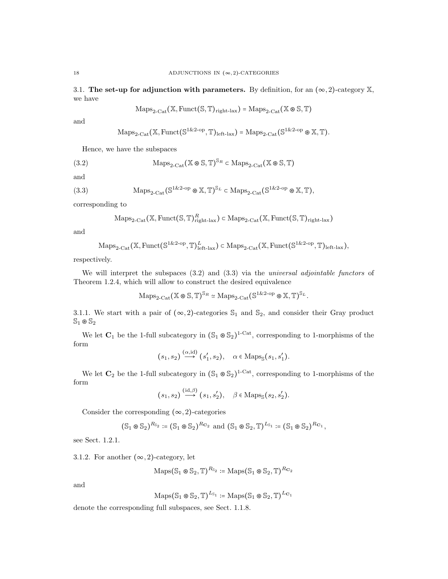3.1. The set-up for adjunction with parameters. By definition, for an  $(\infty, 2)$ -category X, we have

$$
\mathrm{Maps}_{2\text{-}\mathrm{Cat}}(\mathbb{X}, \mathrm{Funct}(\mathbb{S}, \mathbb{T})_{\text{right-lax}}) = \mathrm{Maps}_{2\text{-}\mathrm{Cat}}(\mathbb{X} \otimes \mathbb{S}, \mathbb{T})
$$

and

$$
\mathrm{Maps}_{2\text{-}\mathrm{Cat}}(\mathbb{X}, \mathrm{Funct}(\mathbb{S}^{1\&2\text{-}\mathrm{op}}, \mathbb{T})_{\mathrm{left\text{-}lax}})=\mathrm{Maps}_{2\text{-}\mathrm{Cat}}(\mathbb{S}^{1\&2\text{-}\mathrm{op}}\otimes \mathbb{X}, \mathbb{T}).
$$

Hence, we have the subspaces

(3.2) 
$$
\operatorname{Maps}_{2\text{-}\mathrm{Cat}}(\mathbb{X} \otimes \mathbb{S}, \mathbb{T})^{\mathbb{S}_R} \subset \operatorname{Maps}_{2\text{-}\mathrm{Cat}}(\mathbb{X} \otimes \mathbb{S}, \mathbb{T})
$$

and

(3.3) 
$$
\operatorname{Maps}_{2\text{-}\mathrm{Cat}}(\mathbb{S}^{1\&2\text{-}\mathrm{op}} \otimes \mathbb{X}, \mathbb{T})^{\mathbb{S}_L} \subset \operatorname{Maps}_{2\text{-}\mathrm{Cat}}(\mathbb{S}^{1\&2\text{-}\mathrm{op}} \otimes \mathbb{X}, \mathbb{T}),
$$

corresponding to

$$
\mathrm{Maps}_{2\text{-}\mathrm{Cat}}(\mathbb{X}, \mathrm{Funct}(\mathbb{S}, \mathbb{T})_{\mathrm{right\text{-}lax}}^{R}) \subset \mathrm{Maps}_{2\text{-}\mathrm{Cat}}(\mathbb{X}, \mathrm{Funct}(\mathbb{S}, \mathbb{T})_{\mathrm{right\text{-}lax}})
$$

and

$$
\mathrm{Maps}_{2\text{-}\mathrm{Cat}}(\mathbb{X}, \mathrm{Funct}(\mathbb{S}^{1\&2\text{-}\mathrm{op}}, \mathbb{T})^{L}_{\mathrm{left-lax}}) \subset \mathrm{Maps}_{2\text{-}\mathrm{Cat}}(\mathbb{X}, \mathrm{Funct}(\mathbb{S}^{1\&2\text{-}\mathrm{op}}, \mathbb{T})_{\mathrm{left-lax}}),
$$

respectively.

We will interpret the subspaces  $(3.2)$  and  $(3.3)$  via the universal adjointable functors of Theorem 1.2.4, which will allow to construct the desired equivalence

$$
\mathrm{Maps}_{2\text{-}\mathrm{Cat}}(\mathbb{X} \circledast \mathbb{S}, \mathbb{T})^{\mathbb{S}_R} \simeq \mathrm{Maps}_{2\text{-}\mathrm{Cat}}(\mathbb{S}^{1 \& 2\text{-}\mathrm{op}} \circledast \mathbb{X}, \mathbb{T})^{\mathbb{S}_L}.
$$

3.1.1. We start with a pair of  $(\infty, 2)$ -categories  $\mathbb{S}_1$  and  $\mathbb{S}_2$ , and consider their Gray product  $\mathbb{S}_1 \otimes \mathbb{S}_2$ 

We let  $C_1$  be the 1-full subcategory in  $(\mathbb{S}_1 \otimes \mathbb{S}_2)^{1-\text{Cat}}$ , corresponding to 1-morphisms of the form

$$
(s_1, s_2) \xrightarrow{(\alpha, id)} (s'_1, s_2), \quad \alpha \in \text{Maps}_{\mathbb{S}}(s_1, s'_1).
$$

We let  $\mathbb{C}_2$  be the 1-full subcategory in  $(\mathbb{S}_1 \otimes \mathbb{S}_2)^{1-\text{Cat}}$ , corresponding to 1-morphisms of the form

$$
(s_1, s_2) \xrightarrow{\text{(id, \beta)}} (s_1, s'_2), \quad \beta \in \text{Maps}_{\mathbb{S}}(s_2, s'_2).
$$

Consider the corresponding  $(\infty, 2)$ -categories

$$
(\mathbb{S}_1 \otimes \mathbb{S}_2)^{R_{\mathbb{S}_2}} \coloneqq (\mathbb{S}_1 \otimes \mathbb{S}_2)^{R_{\mathbf{C}_2}} \text{ and } (\mathbb{S}_1 \otimes \mathbb{S}_2, \mathbb{T})^{L_{\mathbb{S}_1}} \coloneqq (\mathbb{S}_1 \otimes \mathbb{S}_2)^{R_{\mathbf{C}_1}},
$$

see Sect. 1.2.1.

3.1.2. For another  $(\infty, 2)$ -category, let

$$
\mathrm{Maps}(\mathbb{S}_1 \otimes \mathbb{S}_2, \mathbb{T})^{R_{\mathbb{S}_2}} \coloneqq \mathrm{Maps}(\mathbb{S}_1 \otimes \mathbb{S}_2, \mathbb{T})^{R_{\mathbf{C}_2}}
$$

and

$$
\mathrm{Maps}(\mathbb{S}_1 \otimes \mathbb{S}_2, \mathbb{T})^{L_{\mathbb{S}_1}} \coloneqq \mathrm{Maps}(\mathbb{S}_1 \otimes \mathbb{S}_2, \mathbb{T})^{L_{\mathbf{C}_1}}
$$

denote the corresponding full subspaces, see Sect. 1.1.8.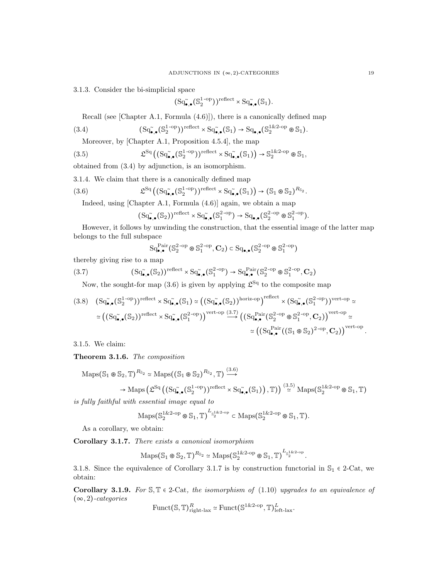3.1.3. Consider the bi-simplicial space

$$
(\mathrm{Sq}^{\widetilde{\bullet}}_{\bullet,\bullet}(\mathbb{S}_2^{1\text{-op}}))^{\mathrm{reflect}} \times \mathrm{Sq}^{\widetilde{\bullet}}_{\bullet,\bullet}(\mathbb{S}_1).
$$

Recall (see [Chapter A.1, Formula (4.6)]), there is a canonically defined map

$$
(3.4) \qquad (Sq_{\bullet,\bullet}^{\tilde{}}(\mathbb{S}_2^{1-\text{op}}))^{reflect} \times Sq_{\bullet,\bullet}^{\tilde{}}(\mathbb{S}_1) \to Sq_{\bullet,\bullet}(\mathbb{S}_2^{1\&2-\text{op}} \otimes \mathbb{S}_1).
$$

Moreover, by [Chapter A.1, Proposition 4.5.4], the map

(3.5) 
$$
\mathfrak{L}^{\mathrm{Sq}}\left( \left( \mathrm{Sq}_{\bullet,\bullet}^{\sim}(\mathbb{S}_{2}^{1\text{-op}}) \right) ^{\mathrm{reflect}} \times \mathrm{Sq}_{\bullet,\bullet}^{\sim}(\mathbb{S}_{1}) \right) \to \mathbb{S}_{2}^{1\& 2\text{-op}} \otimes \mathbb{S}_{1},
$$

obtained from (3.4) by adjunction, is an isomorphism.

3.1.4. We claim that there is a canonically defined map

(3.6) 
$$
\mathfrak{L}^{\mathrm{Sq}}\left((\mathrm{Sq}_{\bullet,\bullet}^{\sim}(\mathbb{S}_{2}^{1\text{-op}}))^{\mathrm{reflect}} \times \mathrm{Sq}_{\bullet,\bullet}^{\sim}(\mathbb{S}_{1})\right) \to (\mathbb{S}_{1} \otimes \mathbb{S}_{2})^{R_{\mathbb{S}_{2}}}.
$$

Indeed, using [Chapter A.1, Formula (4.6)] again, we obtain a map

$$
(\mathrm{Sq}^{\sim}_{\bullet,\bullet}(\mathbb{S}_2))^{\mathrm{reflect}} \times \mathrm{Sq}^{\sim}_{\bullet,\bullet}(\mathbb{S}_1^{2\text{-op}}) \to \mathrm{Sq}_{\bullet,\bullet}(\mathbb{S}_2^{2\text{-op}} \otimes \mathbb{S}_1^{2\text{-op}}).
$$

However, it follows by unwinding the construction, that the essential image of the latter map belongs to the full subspace

$$
\mathrm{Sq}^{\mathrm{Pair}}_{\bullet,\bullet}(\mathbb{S}_2^{2\text{-op}} \otimes \mathbb{S}_1^{2\text{-op}}, \mathbf{C}_2) \subset \mathrm{Sq}_{\bullet,\bullet}(\mathbb{S}_2^{2\text{-op}} \otimes \mathbb{S}_1^{2\text{-op}})
$$

thereby giving rise to a map

$$
(3.7) \qquad (Sq_{\bullet,\bullet}^{(S_2)})^{\text{reflect}} \times Sq_{\bullet,\bullet}^{(S_2^2-\text{op})} \to Sq_{\bullet,\bullet}^{\text{Pair}}(S_2^{2-\text{op}} \otimes S_1^{2-\text{op}}, \mathbf{C}_2)
$$

Now, the sought-for map (3.6) is given by applying  $\mathfrak{L}^{\text{Sq}}$  to the composite map

$$
(3.8) \quad (Sq_{\bullet,\bullet}^{\sim}(S_2^{1-op}))^{reflect} \times Sq_{\bullet,\bullet}^{\sim}(S_1) \simeq ((Sq_{\bullet,\bullet}^{\sim}(S_2))^{horiz-op})^{reflect} \times (Sq_{\bullet,\bullet}^{\sim}(S_1^{2-op}))^{vert-op} \simeq
$$

$$
\simeq ((Sq_{\bullet,\bullet}^{\sim}(S_2))^{reflect} \times Sq_{\bullet,\bullet}^{\sim}(S_1^{2-op}))^{vert-op} \xrightarrow{(Sq_{\bullet,\bullet}^{Par}(S_2^{2-op} \otimes S_1^{2-op}, C_2))^{vert-op} \simeq
$$

$$
\simeq ((Sq_{\bullet,\bullet}^{Pair}((S_1 \otimes S_2)^{2-op}, C_2))^{vert-op}.
$$

3.1.5. We claim:

Theorem 3.1.6. The composition

$$
\begin{aligned}\n\text{Maps}(\mathbb{S}_1 \otimes \mathbb{S}_2, \mathbb{T})^{R_{\mathbb{S}_2}} &\simeq \text{Maps}((\mathbb{S}_1 \otimes \mathbb{S}_2)^{R_{\mathbb{S}_2}}, \mathbb{T}) \xrightarrow{(\mathbb{3}.6)} \\
&\to \text{Maps}(\mathfrak{L}^{\text{Sq}}((\text{Sq}_{\bullet,\bullet}(\mathbb{S}_2^{1-\text{op}}))^{\text{reflect}} \times \text{Sq}_{\bullet,\bullet}(\mathbb{S}_1)), \mathbb{T})) \xrightarrow{(\mathbb{3}.5)} \text{Maps}(\mathbb{S}_2^{1\&2-\text{op}} \otimes \mathbb{S}_1, \mathbb{T})\n\end{aligned}
$$

is fully faithful with essential image equal to

$$
\mathrm{Maps}(\mathbb{S}_2^{1\& 2\text{-} \mathrm{op}}\otimes \mathbb{S}_1, \mathbb{T})^{L_{\mathbb{S}_2^{1\& 2\text{-} \mathrm{op}}}} \subset \mathrm{Maps}(\mathbb{S}_2^{1\& 2\text{-} \mathrm{op}}\otimes \mathbb{S}_1, \mathbb{T}).
$$

As a corollary, we obtain:

Corollary 3.1.7. There exists a canonical isomorphism

$$
\mathrm{Maps}(\mathbb{S}_1 \circledast \mathbb{S}_2, \mathbb{T})^{R_{\mathbb{S}_2}} \simeq \mathrm{Maps}(\mathbb{S}_2^{1\& 2\text{-}op} \circledast \mathbb{S}_1, \mathbb{T})^{L_{\mathbb{S}_2^{1\& 2\text{-}op}}}.
$$

3.1.8. Since the equivalence of Corollary 3.1.7 is by construction functorial in  $\mathbb{S}_1 \in 2$ -Cat, we obtain:

Corollary 3.1.9. For  $\mathcal{S}, \mathbb{T} \in 2$ -Cat, the isomorphism of (1.10) upgrades to an equivalence of  $(\infty, 2)$ -categories

$$
\text{Funct}(\mathbb{S}, \mathbb{T})^R_{\text{right-lax}} \simeq \text{Funct}(\mathbb{S}^{1 \& 2\text{-op}}, \mathbb{T})^L_{\text{left-lax}}.
$$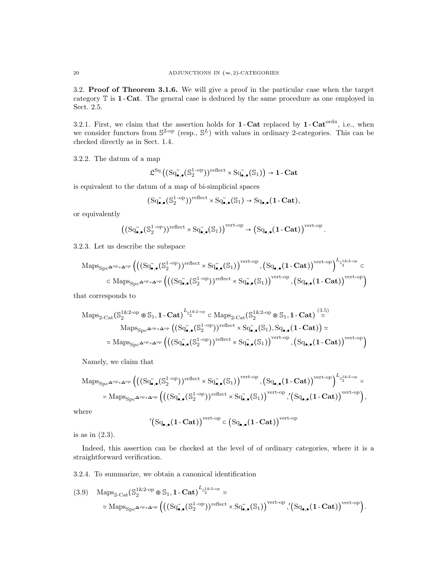3.2. Proof of Theorem 3.1.6. We will give a proof in the particular case when the target category T is 1 - Cat. The general case is deduced by the same procedure as one employed in Sect. 2.5.

3.2.1. First, we claim that the assertion holds for  $1$ -Cat replaced by  $1$ -Cat<sup>ordn</sup>, i.e., when we consider functors from  $\mathbb{S}^{2\text{-op}}$  (resp.,  $\mathbb{S}^{L}$ ) with values in ordinary 2-categories. This can be checked directly as in Sect. 1.4.

3.2.2. The datum of a map

$$
\mathfrak{L}^{\mathrm{Sq}} \left( \left( \mathrm{Sq}_{\bullet,\bullet}^{\text{''}}(\mathbb{S}_2^{1\text{-op}}) \right)^{\mathrm{reflect}} \times \mathrm{Sq}_{\bullet,\bullet}^{\text{''}}(\mathbb{S}_1) \right) \to \mathbf{1}\text{-}\mathbf{Cat}
$$

is equivalent to the datum of a map of bi-simplicial spaces

$$
(\mathrm{Sq}^{\tilde{}}_{\bullet,\bullet}(\mathbb{S}_{2}^{1\text{-op}}))^{\mathrm{reflect}} \times \mathrm{Sq}^{\tilde{}}_{\bullet,\bullet}(\mathbb{S}_{1}) \to \mathrm{Sq}_{\bullet,\bullet}(1\text{-}\mathbf{Cat}),
$$

or equivalently

$$
\left((\mathrm{Sq}_{\bullet,\bullet}^{\sim}(\mathbb{S}_2^{1\operatorname{-op}}))^{reflect}\times \mathrm{Sq}_{\bullet,\bullet}^{\sim}(\mathbb{S}_1)\right)^{\mathrm{vert}\operatorname{-op}}\to \left(\mathrm{Sq}_{\bullet,\bullet}(1\operatorname{-}\mathbf{Cat})\right)^{\mathrm{vert}\operatorname{-op}}.
$$

3.2.3. Let us describe the subspace

$$
\mathrm{Maps}_{\mathrm{Spc}^{\mathbf{\Delta}^{\mathrm{op}}\times\mathbf{\Delta}^{\mathrm{op}}}}\left(\left((\mathrm{Sq}_{\bullet,\bullet}^{\sim}(\mathbb{S}_{2}^{1\text{-op}}))^{\mathrm{reflect}} \times \mathrm{Sq}_{\bullet,\bullet}^{\sim}(\mathbb{S}_{1})\right)^{\mathrm{vert}\text{-op}},\left(\mathrm{Sq}_{\bullet,\bullet}^{\sim}(1-\mathbf{Cat})\right)^{\mathrm{vert}\text{-op}}\right)^{L_{\mathbb{S}_{2}^{1\&2}\text{-op}}}\in\\\hspace{-.2cm}\subset \mathrm{Maps}_{\mathrm{Spc}^{\mathbf{\Delta}^{\mathrm{op}}\times\mathbf{\Delta}^{\mathrm{op}}}}\left(\left((\mathrm{Sq}_{\bullet,\bullet}^{\sim}(\mathbb{S}_{2}^{1\text{-op}}))^{\mathrm{reflect}} \times \mathrm{Sq}_{\bullet,\bullet}^{\sim}(\mathbb{S}_{1})\right)^{\mathrm{vert}\text{-op}},\left(\mathrm{Sq}_{\bullet,\bullet}^{\sim}(1-\mathbf{Cat})\right)^{\mathrm{vert}\text{-op}}\right)
$$

that corresponds to

$$
\begin{aligned} \mathrm{Maps}_{2\text{-}\mathrm{Cat}}\big( \mathbb{S}^{1 \& 2\text{-} \mathrm{op}}_2 \otimes \mathbb{S}_1, \mathbf{1\text{-}Cat} \big)^{L_{\mathbb{S}^{1 \& 2\text{-} \mathrm{op}}}} \subset \mathrm{Maps}_{2\text{-}\mathrm{Cat}}\big( \mathbb{S}^{1 \& 2\text{-} \mathrm{op}}_2 \otimes \mathbb{S}_1, \mathbf{1\text{-}Cat} \big)^{\frac{(3.5)}{\simeq}} \\ \mathrm{Maps}_{\mathrm{Spc}^{\mathbf{\Delta}^{\mathrm{op}} \times \mathbf{\Delta}^{\mathrm{op}}}} \big( \big( \mathrm{Sq}^{\sim}_{\bullet,\bullet}(\mathbb{S}^{1\text{-}\mathrm{op}}_2) \big)^{\mathrm{reflect}} \times \mathrm{Sq}^{\sim}_{\bullet,\bullet}(\mathbb{S}_1), \mathrm{Sq}_{\bullet,\bullet}(\mathbf{1\text{-}Cat}) \big) \simeq \\ & \simeq \mathrm{Maps}_{\mathrm{Spc}^{\mathbf{\Delta}^{\mathrm{op}} \times \mathbf{\Delta}^{\mathrm{op}}}} \big( \big( \big( \mathrm{Sq}^{\sim}_{\bullet,\bullet}(\mathbb{S}^{1\text{-}\mathrm{op}}_2) \big)^{\mathrm{reflect}} \times \mathrm{Sq}^{\sim}_{\bullet,\bullet}(\mathbb{S}_1) \big)^{\mathrm{vert}\text{-} \mathrm{op}} , \big( \mathrm{Sq}_{\bullet,\bullet}(\mathbf{1\text{-}Cat}) \big)^{\mathrm{vert}\text{-} \mathrm{op}} \big) \end{aligned}
$$

Namely, we claim that

$$
\mathrm{Maps}_{\mathrm{Spc}^{\mathbf{\Delta}^{\mathrm{op}}\times\mathbf{\Delta}^{\mathrm{op}}}}\Big(\big((\mathrm{Sq}^{\boldsymbol{\mathrm{c}}}_{\bullet,\bullet}(\mathbb{S}^{1-\mathrm{op}}_{2}))^{\mathrm{reflect}}\times\mathrm{Sq}^{\boldsymbol{\mathrm{c}}}_{\bullet,\bullet}(\mathbb{S}_{1})\big)^{\mathrm{vert}\mathrm{op}}\,,\big(\mathrm{Sq}_{\bullet,\bullet}(\mathbf{1}-\mathbf{Cat})\big)^{\mathrm{vert}\mathrm{op}}\Big)^{L_{\mathbb{S}^{1\&2-\mathrm{op}}_{2}}}=\mathrm{Maps}_{\mathrm{Spc}^{\mathbf{\Delta}^{\mathrm{op}}\times\mathbf{\Delta}^{\mathrm{op}}}}\Big(\big((\mathrm{Sq}^{\boldsymbol{\mathrm{c}}}_{\bullet,\bullet}(\mathbb{S}^{1-\mathrm{op}}_{2}))^{\mathrm{reflect}}\times\mathrm{Sq}^{\boldsymbol{\mathrm{c}}}_{\bullet,\bullet}(\mathbb{S}_{1})\big)^{\mathrm{vert}\mathrm{op}}\,,\big(\mathrm{Sq}_{\bullet,\bullet}(\mathbf{1}-\mathbf{Cat})\big)^{\mathrm{vert}\mathrm{op}}\Big),
$$

where

$$
^{\prime}\!\left(\mathrm{Sq}_{\bullet,\bullet}(1\,\mathbf{\text{Cat}})\right)^{\mathrm{vert}\text{-}\mathrm{op}}\subset\left(\mathrm{Sq}_{\bullet,\bullet}(1\,\mathbf{\text{Cat}})\right)^{\mathrm{vert}\text{-}\mathrm{op}}
$$

is as in (2.3).

Indeed, this assertion can be checked at the level of of ordinary categories, where it is a straightforward verification.

3.2.4. To summarize, we obtain a canonical identification

$$
(3.9) \quad \operatorname{Maps}_{2\text{-Cat}}(\mathbb{S}_{2}^{1\&2\text{-op}} \otimes \mathbb{S}_{1}, \mathbf{1\text{-Cat}})^{L_{\mathbb{S}_{2}^{1\&2\text{-op}}}} \simeq
$$

$$
\simeq \operatorname{Maps}_{\operatorname{Spc}} \Delta^{\operatorname{op}} \times \Delta^{\operatorname{op}} \left( \left( (\operatorname{Sq}_{\bullet,\bullet}^{\sim}(\mathbb{S}_{2}^{1-\operatorname{op}}))^{\operatorname{reflect}} \times \operatorname{Sq}_{\bullet,\bullet}^{\sim}(\mathbb{S}_{1}) \right)^{\operatorname{vert-op}}, \left( \operatorname{Sq}_{\bullet,\bullet}(\mathbf{1\text{-Cat}}) \right)^{\operatorname{vert-op}} \right).
$$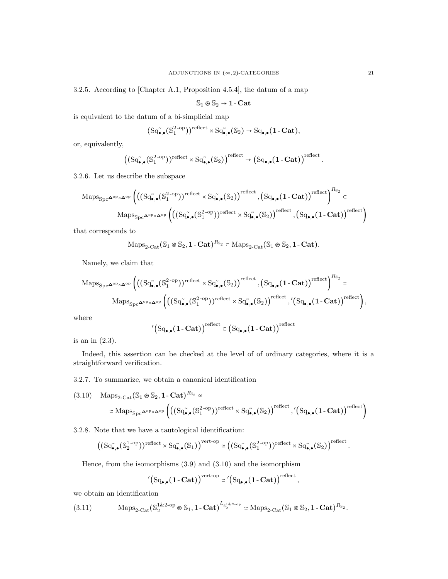3.2.5. According to [Chapter A.1, Proposition 4.5.4], the datum of a map

$$
\mathbb{S}_1\circledast\mathbb{S}_2\to\mathbf{1}\text{-}\mathbf{Cat}
$$

is equivalent to the datum of a bi-simplicial map

$$
(\mathrm{Sq}^{\sim}_{\bullet,\bullet}(\mathbb{S}^{2\text{-op}}_1))^{\mathrm{reflect}} \times \mathrm{Sq}^{\sim}_{\bullet,\bullet}(\mathbb{S}_2) \to \mathrm{Sq}_{\bullet,\bullet}(1\text{-}\mathbf{Cat}),
$$

or, equivalently,

$$
\left( \left( \mathrm{Sq}_{\bullet,\bullet}^{\sim}(\mathbb{S}_1^{2\text{-op}}) \right)^{\text{reflect}} \times \mathrm{Sq}_{\bullet,\bullet}^{\sim}(\mathbb{S}_2) \right)^{\text{reflect}} \to \left( \mathrm{Sq}_{\bullet,\bullet}(\mathbf{1}-\mathbf{Cat}) \right)^{\text{reflect}}.
$$

3.2.6. Let us describe the subspace

$$
\mathrm{Maps}_{\mathrm{Spc}^{\mathbf{\Delta}^{op}\times\mathbf{\Delta}^{op}}} \left( \left( \left( \mathrm{Sq}_{\bullet,\bullet}^{\sim}(\mathbb{S}^{2\text{-op}}_1) \right)^{\mathrm{reflect}} \times \mathrm{Sq}_{\bullet,\bullet}^{\sim}(\mathbb{S}_2) \right)^{\mathrm{reflect}} , \left( \mathrm{Sq}_{\bullet,\bullet}(1-\mathbf{Cat}) \right)^{\mathrm{reflect}} \right)^{R_{\mathbb{S}_2}} \subset \mathrm{Maps}_{\mathrm{Spc}^{\mathbf{\Delta}^{op}\times\mathbf{\Delta}^{op}}} \left( \left( \left( \mathrm{Sq}_{\bullet,\bullet}^{\sim}(\mathbb{S}^{2\text{-op}}_1) \right)^{\mathrm{reflect}} \times \mathrm{Sq}_{\bullet,\bullet}^{\sim}(\mathbb{S}_2) \right)^{\mathrm{reflect}} , \left( \mathrm{Sq}_{\bullet,\bullet}(1-\mathbf{Cat}) \right)^{\mathrm{reflect}} \right)
$$

that corresponds to

$$
\mathrm{Maps}_{2\text{-}\mathrm{Cat}}(\mathbb{S}_1 \otimes \mathbb{S}_2, \mathbf{1}\text{-}\mathbf{Cat})^{R_{\mathbb{S}_2}} \subset \mathrm{Maps}_{2\text{-}\mathrm{Cat}}(\mathbb{S}_1 \otimes \mathbb{S}_2, \mathbf{1}\text{-}\mathbf{Cat}).
$$

Namely, we claim that

$$
\mathrm{Maps}_{\mathrm{Spc}^{\mathbf{\Delta}^{\mathrm{op}}\times\mathbf{\Delta}^{\mathrm{op}}}}\left(\left((\mathrm{Sq}_{\bullet,\bullet}^{\sim}(\mathbb{S}_{1}^{2-\mathrm{op}}))^{\mathrm{reflect}} \times \mathrm{Sq}_{\bullet,\bullet}^{\sim}(\mathbb{S}_{2})\right)^{\mathrm{reflect}},\left(\mathrm{Sq}_{\bullet,\bullet}^{\bullet}(1-\mathbf{Cat})\right)^{\mathrm{reflect}}\right)^{R_{\mathbb{S}_{2}}}=\mathrm{Maps}_{\mathrm{Spc}^{\mathbf{\Delta}^{\mathrm{op}}\times\mathbf{\Delta}^{\mathrm{op}}}}\left(\left((\mathrm{Sq}_{\bullet,\bullet}^{\sim}(\mathbb{S}_{1}^{2-\mathrm{op}}))^{\mathrm{reflect}} \times \mathrm{Sq}_{\bullet,\bullet}^{\sim}(\mathbb{S}_{2})\right)^{\mathrm{reflect}},\left(\mathrm{Sq}_{\bullet,\bullet}(1-\mathbf{Cat})\right)^{\mathrm{reflect}}\right),
$$

where

$$
^{\prime}\!\left(\mathrm{Sq}_{\bullet,\bullet}(1\!\cdot\!\mathrm{Cat})\right)^{\mathrm{reflect}}\subset\left(\mathrm{Sq}_{\bullet,\bullet}(1\!\cdot\!\mathrm{Cat})\right)^{\mathrm{reflect}}
$$

is an in (2.3).

Indeed, this assertion can be checked at the level of of ordinary categories, where it is a straightforward verification.

3.2.7. To summarize, we obtain a canonical identification

$$
(3.10) \quad \text{Maps}_{2\text{-Cat}}(\mathbb{S}_1 \otimes \mathbb{S}_2, \mathbf{1}\text{-Cat})^{R_{\mathbb{S}_2}} \simeq
$$

$$
\simeq \text{Maps}_{\text{Spc}}\Delta^{\text{op}}\times\Delta^{\text{op}}\left(\left(\text{Sq}^{\sim}_{\bullet,\bullet}(\mathbb{S}_1^{2\text{-op}})\right)^{\text{reflect}} \times \text{Sq}^{\sim}_{\bullet,\bullet}(\mathbb{S}_2)\right)^{\text{reflect}}, \left(\text{Sq}_{\bullet,\bullet}(\mathbf{1}\text{-Cat})\right)^{\text{reflect}}\right)
$$

3.2.8. Note that we have a tautological identification:

$$
\left((\mathrm{Sq}^{\sim}_{\bullet,\bullet}(\mathbb{S}_2^{1\operatorname{-op}}))^\mathrm{reflect} \times \mathrm{Sq}^{\sim}_{\bullet,\bullet}(\mathbb{S}_1)\right)^\mathrm{vert\operatorname{-op}} \simeq \left((\mathrm{Sq}^{\sim}_{\bullet,\bullet}(\mathbb{S}_1^{2\operatorname{-op}}))^\mathrm{reflect} \times \mathrm{Sq}^{\sim}_{\bullet,\bullet}(\mathbb{S}_2)\right)^\mathrm{reflect}
$$

Hence, from the isomorphisms (3.9) and (3.10) and the isomorphism

$$
'\big(\mathrm{Sq}_{\bullet,\bullet}(1\text{-}\mathbf{Cat})\big)^{\mathrm{vert-op}} \simeq \big(\mathrm{Sq}_{\bullet,\bullet}(1\text{-}\mathbf{Cat})\big)^{\mathrm{reflect}}\,,
$$

we obtain an identification

$$
(3.11) \t\operatorname{Maps}_{2\text{-}\mathrm{Cat}}(\mathbb{S}_2^{1\&2\text{-}\mathrm{op}}\otimes \mathbb{S}_1, \mathbf{1}\text{-}\mathbf{Cat})^{L_{\mathbb{S}_2^{1\&2\text{-}\mathrm{op}}}} \simeq \operatorname{Maps}_{2\text{-}\mathrm{Cat}}(\mathbb{S}_1 \otimes \mathbb{S}_2, \mathbf{1}\text{-}\mathbf{Cat})^{R_{\mathbb{S}_2}}.
$$

.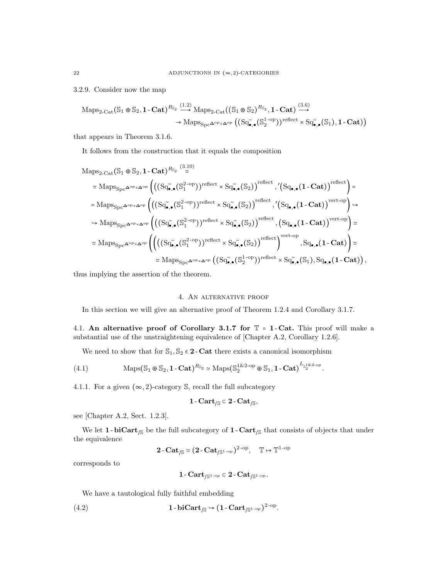3.2.9. Consider now the map

$$
\begin{aligned} \mathrm{Maps}_{2\text{-}\mathrm{Cat}}(\mathbb{S}_1\circledast\mathbb{S}_2,1\text{-}\mathbf{Cat})^{R_{\mathbb{S}_2}} &\stackrel{(1.2)}{\longrightarrow} \mathrm{Maps}_{2\text{-}\mathrm{Cat}}((\mathbb{S}_1\circledast\mathbb{S}_2)^{R_{\mathbb{S}_2}},1\text{-}\mathbf{Cat}) \stackrel{(3.6)}{\longrightarrow} \\ &\to \mathrm{Maps}_{\mathrm{Spc}^{\mathbf{\Delta}^{\mathrm{op}}\times\mathbf{\Delta}^{\mathrm{op}}}}\big((\mathrm{Sq}_{\bullet,\bullet}^{\small\bullet}(\mathbb{S}_2^{1\text{-}\mathrm{op}})\big)^{\mathrm{reflect}}\times \mathrm{Sq}_{\bullet,\bullet}^{\small\bullet}(\mathbb{S}_1),1\text{-}\mathbf{Cat})\big) \end{aligned}
$$

that appears in Theorem 3.1.6.

It follows from the construction that it equals the composition

$$
\begin{aligned} \mathrm{Maps}_{2\text{-Cat}}(\mathbb{S}_1\oplus\mathbb{S}_2,\mathbf{1}\text{-}\mathbf{Cat})^{R_{\mathbb{S}_2}} &\cong& \mathrm{Maps}_{\mathrm{Spc}^{\mathbf{\Delta}^{\mathrm{op}}\times\mathbf{\Delta}^{\mathrm{op}}}}\left(\left((\mathrm{Sq}_{\bullet,\bullet}^{\circ}(\mathbb{S}_1^{2\text{-op}}))^{\mathrm{reflect}}\times\mathrm{Sq}_{\bullet,\bullet}^{\circ}(\mathbb{S}_2)\right)^{\mathrm{reflect}}\text{,}^{\prime}\left(\mathrm{Sq}_{\bullet,\bullet}(\mathbf{1}\text{-}\mathbf{Cat})\right)^{\mathrm{reflect}}\right)=\\ &=\mathrm{Maps}_{\mathrm{Spc}^{\mathbf{\Delta}^{\mathrm{op}}\times\mathbf{\Delta}^{\mathrm{op}}}}\left(\left((\mathrm{Sq}_{\bullet,\bullet}^{\circ}(\mathbb{S}_1^{2\text{-op}}))^{\mathrm{reflect}}\times\mathrm{Sq}_{\bullet,\bullet}^{\circ}(\mathbb{S}_2)\right)^{\mathrm{reflect}}\text{,}^{\prime}\left(\mathrm{Sq}_{\bullet,\bullet}(\mathbf{1}\text{-}\mathbf{Cat})\right)^{\mathrm{vert}\mathrm{cop}}\right)\Rightarrow\\ &\hookrightarrow\mathrm{Maps}_{\mathrm{Spc}^{\mathbf{\Delta}^{\mathrm{op}}\times\mathbf{\Delta}^{\mathrm{op}}}}\left(\left((\mathrm{Sq}_{\bullet,\bullet}^{\circ}(\mathbb{S}_1^{2\text{-op}}))^{\mathrm{reflect}}\times\mathrm{Sq}_{\bullet,\bullet}^{\circ}(\mathbb{S}_2)\right)^{\mathrm{reflect}}\text{,}^{\prime}\left(\mathrm{Sq}_{\bullet,\bullet}(\mathbf{1}\text{-}\mathbf{Cat})\right)^{\mathrm{vert}\mathrm{op}}\right)\simeq\\ &\simeq\mathrm{Maps}_{\mathrm{Spc}^{\mathbf{\Delta}^{\mathrm{op}}\times\mathbf{\Delta}^{\mathrm{op}}}}\left(\left(\left((\mathrm{Sq}_{\bullet,\bullet}^{\circ}(\mathbb{S}_1^{2\text{-op}}))^{\mathrm{reflect}}\times\mathrm{Sq}_{\bullet,\bullet}^{\circ}(\mathbb{S}_2)\right)^{\mathrm{reflect}}\right)^{\mathrm{vert}\mathrm{op}}\text{,}^{\mathrm{Sq}_{\bullet,\bullet}(\mathbf{1}\text{-}\mathbf{Cat})\right)\right)\simeq\\ &\simeq\mathrm{Maps}_{\mathrm{Spc}^{\mathbf{\Delta}^{\mathrm{op}}\times\mathbf{\Delta}^{\mathrm{op}}}}\left(\
$$

thus implying the assertion of the theorem.

# 4. An alternative proof

In this section we will give an alternative proof of Theorem 1.2.4 and Corollary 3.1.7.

4.1. An alternative proof of Corollary 3.1.7 for  $\mathbb{T} = 1$ -Cat. This proof will make a substantial use of the unstraightening equivalence of [Chapter A.2, Corollary 1.2.6].

We need to show that for  $\mathbb{S}_1, \mathbb{S}_2 \in \mathbf{2}$ -Cat there exists a canonical isomorphism

(4.1) 
$$
\operatorname{Maps}(S_1 \otimes S_2, \mathbf{1} - \mathbf{Cat})^{R_{S_2}} \simeq \operatorname{Maps}(S_2^{1\&2\text{-}op} \otimes S_1, \mathbf{1} - \mathbf{Cat})^{L_{S_2^{1\&2\text{-}op}}}.
$$

4.1.1. For a given  $(\infty, 2)$ -category S, recall the full subcategory

$$
1-Cart_{/\mathbb{S}}\subset 2-Cat_{/\mathbb{S}},
$$

see [Chapter A.2, Sect. 1.2.3].

We let 1 -  $\text{biCart}_{\beta}$  be the full subcategory of 1 -  $\text{Cart}_{\beta}$  that consists of objects that under the equivalence

$$
2\operatorname{-Cat}_{/\mathbb{S}} \simeq \big(2\operatorname{-Cat}_{/\mathbb{S}^{1\operatorname{-op}}}\big)^{2\operatorname{-op}}, \quad \mathbb{T} \mapsto \mathbb{T}^{1\operatorname{-op}}
$$

corresponds to

$$
1\text{-}\operatorname{Cart}_{/\mathbb{S}^{1\operatorname{-op}}} \subset 2\text{-}\operatorname{Cat}_{/\mathbb{S}^{1\operatorname{-op}}}.
$$

We have a tautological fully faithful embedding

(4.2) 
$$
\mathbf{1}\text{-}\mathbf{biCart}_{\mathcal{S}} \rightarrow (\mathbf{1}\text{-}\mathbf{Cart}_{\mathcal{S}^{1-\text{op}}})^{2-\text{op}}.
$$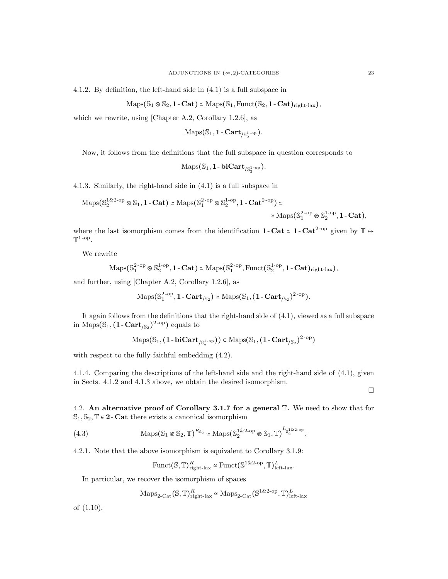4.1.2. By definition, the left-hand side in (4.1) is a full subspace in

 $\text{Maps}(\mathbb{S}_1 \otimes \mathbb{S}_2, 1 - \text{Cat}) \simeq \text{Maps}(\mathbb{S}_1, \text{Funct}(\mathbb{S}_2, 1 - \text{Cat})_{\text{right-lax}}),$ 

which we rewrite, using [Chapter A.2, Corollary 1.2.6], as

$$
\mathrm{Maps}(\mathbb{S}_1, \mathbf{1}\text{-}\mathbf{Cart}_{/\mathbb{S}_2^{1\text{-}\mathrm{op}}}).
$$

Now, it follows from the definitions that the full subspace in question corresponds to

$$
\mathrm{Maps}(\mathbb{S}_1, \mathbf{1}\text{-}\mathbf{biCart}_{/\mathbb{S}_2^{1\text{-}\mathrm{op}}}).
$$

4.1.3. Similarly, the right-hand side in (4.1) is a full subspace in

$$
\mathrm{Maps}(\mathbb{S}_2^{1\&2\text{-op}} \otimes \mathbb{S}_1, \mathbf{1}\text{-}\mathbf{Cat}) \simeq \mathrm{Maps}(\mathbb{S}_1^{2\text{-op}} \otimes \mathbb{S}_2^{1\text{-op}}, \mathbf{1}\text{-}\mathbf{Cat}^{2\text{-op}}) \simeq
$$
  

$$
\simeq \mathrm{Maps}(\mathbb{S}_1^{2\text{-op}} \otimes \mathbb{S}_2^{1\text{-op}}, \mathbf{1}\text{-}\mathbf{Cat}),
$$

where the last isomorphism comes from the identification 1 - Cat  $\simeq$  1 - Cat<sup>2-op</sup> given by  $\mathbb{T} \mapsto$  $\mathbb{T}^{1-\text{op}}$ .

We rewrite

$$
\mathrm{Maps}(\mathbb{S}_1^{2\text{-op}}\circledast\mathbb{S}_2^{1\text{-op}}, 1\text{-}\mathbf{Cat})\simeq\mathrm{Maps}(\mathbb{S}_1^{2\text{-op}}, \mathrm{Funct}(\mathbb{S}_2^{1\text{-op}}, 1\text{-}\mathbf{Cat})_{\mathrm{right\text{-}lax}}),
$$

and further, using [Chapter A.2, Corollary 1.2.6], as

$$
\mathrm{Maps}(\mathbb{S}_1^{2\text{-op}}, 1\text{-}\mathbf{Cart}_{/\mathbb{S}_2}) \simeq \mathrm{Maps}(\mathbb{S}_1, (1\text{-}\mathbf{Cart}_{/\mathbb{S}_2})^{2\text{-op}}).
$$

It again follows from the definitions that the right-hand side of (4.1), viewed as a full subspace in Maps $(\mathbb{S}_1, (1 - \text{Cart}_{\mathbb{S}_2})^{2-\text{op}})$  equals to

$$
\mathrm{Maps}(\mathbb{S}_1, (\mathbf{1}\text{-}\mathbf{biCart}_{/\mathbb{S}_2^{1\text{-}\mathrm{op}}})) \in \mathrm{Maps}(\mathbb{S}_1, (\mathbf{1}\text{-}\mathbf{Cart}_{/\mathbb{S}_2})^{2\text{-}\mathrm{op}})
$$

with respect to the fully faithful embedding (4.2).

4.1.4. Comparing the descriptions of the left-hand side and the right-hand side of (4.1), given in Sects. 4.1.2 and 4.1.3 above, we obtain the desired isomorphism.

 $\Box$ 

4.2. An alternative proof of Corollary 3.1.7 for a general  $\mathbb T$ . We need to show that for  $\mathbb{S}_1, \mathbb{S}_2, \mathbb{T} \in \mathbf{2}$  - Cat there exists a canonical isomorphism

(4.3) 
$$
\operatorname{Maps}(S_1 \otimes S_2, \mathbb{T})^{R_{S_2}} \simeq \operatorname{Maps}(S_2^{1\& 2\text{-}op} \otimes S_1, \mathbb{T})^{L_{S_2^{1\& 2\text{-}op}}}.
$$

4.2.1. Note that the above isomorphism is equivalent to Corollary 3.1.9:

$$
\text{Funct}(\mathbb{S}, \mathbb{T})^R_{\text{right-lax}} \simeq \text{Funct}(\mathbb{S}^{1 \& 2\text{-op}}, \mathbb{T})^L_{\text{left-lax}}.
$$

In particular, we recover the isomorphism of spaces

$$
\mathrm{Maps}_{2\text{-Cat}}(\mathbb{S}, \mathbb{T})^R_{\text{right-lax}} \simeq \mathrm{Maps}_{2\text{-Cat}}(\mathbb{S}^{1\&2\text{-op}}, \mathbb{T})^L_{\text{left-lax}}
$$

of (1.10).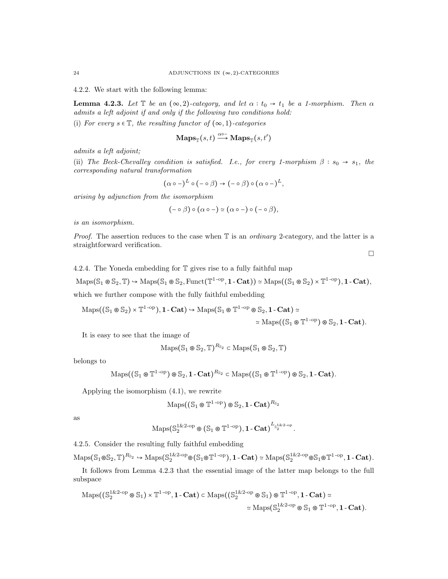4.2.2. We start with the following lemma:

**Lemma 4.2.3.** Let  $\mathbb{T}$  be an  $(\infty, 2)$ -category, and let  $\alpha : t_0 \to t_1$  be a 1-morphism. Then  $\alpha$ admits a left adjoint if and only if the following two conditions hold:

(i) For every  $s \in \mathbb{T}$ , the resulting functor of  $(\infty, 1)$ -categories

$$
\mathbf{Maps}_{\mathbb{T}}(s,t) \xrightarrow{\alpha \circ -} \mathbf{Maps}_{\mathbb{T}}(s,t')
$$

admits a left adjoint;

(ii) The Beck-Chevalley condition is satisfied. I.e., for every 1-morphism  $\beta : s_0 \rightarrow s_1$ , the corresponding natural transformation

$$
(\alpha \circ -)^{L} \circ (- \circ \beta) \to (- \circ \beta) \circ (\alpha \circ -)^{L},
$$

arising by adjunction from the isomorphism

$$
(-\circ \beta) \circ (\alpha \circ -) \simeq (\alpha \circ -) \circ (- \circ \beta),
$$

is an isomorphism.

*Proof.* The assertion reduces to the case when  $\mathbb T$  is an *ordinary* 2-category, and the latter is a straightforward verification.

 $\Box$ 

4.2.4. The Yoneda embedding for T gives rise to a fully faithful map

 $\mathrm{Maps}(\mathbb{S}_1 \otimes \mathbb{S}_2, \mathbb{T}) \hookrightarrow \mathrm{Maps}(\mathbb{S}_1 \otimes \mathbb{S}_2, \mathrm{Funct}(\mathbb{T}^{1-\mathrm{op}}, 1-\mathbf{Cat})) \simeq \mathrm{Maps}((\mathbb{S}_1 \otimes \mathbb{S}_2) \times \mathbb{T}^{1-\mathrm{op}}), 1-\mathbf{Cat}),$ which we further compose with the fully faithful embedding

 $\mathrm{Maps}((\mathbb{S}_1 \circledast \mathbb{S}_2) \times \mathbb{T}^{1-\mathrm{op}}), 1\text{-}\mathbf{Cat}) \hookrightarrow \mathrm{Maps}(\mathbb{S}_1 \circledast \mathbb{T}^{1-\mathrm{op}} \circledast \mathbb{S}_2, 1\text{-}\mathbf{Cat}) \simeq$  $\simeq \mathrm{Maps}((\mathbb{S}_1 \otimes \mathbb{T}^{1-\mathrm{op}}) \otimes \mathbb{S}_2, 1-\mathbf{Cat}).$ 

It is easy to see that the image of

$$
\mathrm{Maps}(\mathbb{S}_1 \otimes \mathbb{S}_2, \mathbb{T})^{R_{\mathbb{S}_2}} \subset \mathrm{Maps}(\mathbb{S}_1 \otimes \mathbb{S}_2, \mathbb{T})
$$

belongs to

$$
\operatorname{Maps}((\mathbb{S}_1 \otimes \mathbb{T}^{1-\mathrm{op}}) \otimes \mathbb{S}_2, 1-\mathbf{Cat})^{R_{\mathbb{S}_2}} \subset \operatorname{Maps}((\mathbb{S}_1 \otimes \mathbb{T}^{1-\mathrm{op}}) \otimes \mathbb{S}_2, 1-\mathbf{Cat}).
$$

Applying the isomorphism (4.1), we rewrite

$$
\mathrm{Maps}((\mathbb{S}_1 \otimes \mathbb{T}^{1-\mathrm{op}}) \otimes \mathbb{S}_2, 1-\mathbf{Cat})^{R_{\mathbb{S}_2}}
$$

as

$$
\mathrm{Maps}(\mathbb{S}_2^{1\& 2\text{-op}} \otimes (\mathbb{S}_1 \otimes \mathbb{T}^{1\text{-op}}), \mathbf{1}\text{-}\mathbf{Cat})^{\mathbf{L}_{\mathbb{S}_2^{1\& 2\text{-op}}}}.
$$

4.2.5. Consider the resulting fully faithful embedding

 $\mathrm{Maps}(\mathbb{S}_1 \otimes \mathbb{S}_2, \mathbb{T})^{R_{\mathbb{S}_2}} \hookrightarrow \mathrm{Maps}(\mathbb{S}_2^{1\&2\text{-}op} \otimes (\mathbb{S}_1 \otimes \mathbb{T}^{1\text{-}op}), 1\text{-}\mathbf{Cat}) \simeq \mathrm{Maps}(\mathbb{S}_2^{1\&2\text{-}op} \otimes \mathbb{S}_1 \otimes \mathbb{T}^{1\text{-}op}, 1\text{-}\mathbf{Cat}).$ 

It follows from Lemma 4.2.3 that the essential image of the latter map belongs to the full subspace

$$
\begin{aligned} \mathrm{Maps}\big((\mathbb{S}_2^{1\& 2\text{-} \mathrm{op}}\otimes \mathbb{S}_1\big) \times \mathbb{T}^{1\text{-}\mathrm{op}}, \mathbf{1\text{-}Cat} \big) &\subset \mathrm{Maps}\big((\mathbb{S}_2^{1\& 2\text{-} \mathrm{op}}\otimes \mathbb{S}_1\big)\otimes \mathbb{T}^{1\text{-}\mathrm{op}}, \mathbf{1\text{-}Cat} \big)\simeq \\ &\simeq \mathrm{Maps}\big(\mathbb{S}_2^{1\& 2\text{-} \mathrm{op}}\otimes \mathbb{S}_1\otimes \mathbb{T}^{1\text{-}\mathrm{op}}, \mathbf{1\text{-}Cat} \big). \end{aligned}
$$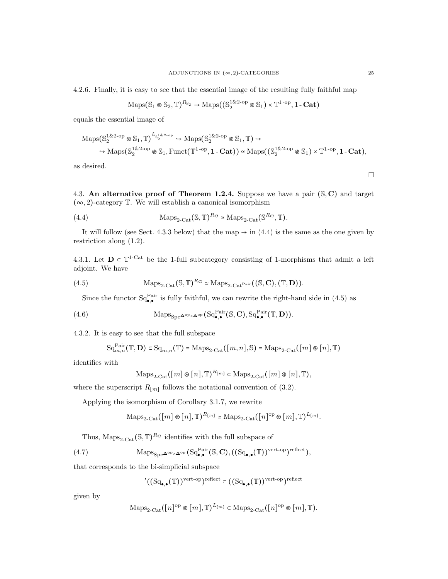4.2.6. Finally, it is easy to see that the essential image of the resulting fully faithful map

$$
\mathrm{Maps}(\mathbb{S}_1 \otimes \mathbb{S}_2, \mathbb{T})^{R_{\mathbb{S}_2}} \to \mathrm{Maps}((\mathbb{S}_2^{1\&2\text{-op}} \otimes \mathbb{S}_1) \times \mathbb{T}^{1\text{-op}}, 1\text{-}\mathbf{Cat})
$$

equals the essential image of

$$
\mathrm{Maps}(\mathbb{S}_2^{1\&2\text{-}op}\otimes \mathbb{S}_1, \mathbb{T})\xrightarrow{L_{\mathbb{S}_2^{1\&2\text{-}op}}}\text{Maps}(\mathbb{S}_2^{1\&2\text{-}op}\otimes \mathbb{S}_1, \mathbb{T})\hookrightarrow \newline \newline \text{Maps}(\mathbb{S}_2^{1\&2\text{-}op}\otimes \mathbb{S}_1, \mathrm{Funct}(\mathbb{T}^{1\text{-}op}, 1\text{-}\mathbf{Cat}))\simeq \mathrm{Maps}((\mathbb{S}_2^{1\&2\text{-}op}\otimes \mathbb{S}_1)\times \mathbb{T}^{1\text{-}op}, 1\text{-}\mathbf{Cat}),
$$

as desired.

4.3. An alternative proof of Theorem 1.2.4. Suppose we have a pair  $(S, C)$  and target  $(\infty, 2)$ -category T. We will establish a canonical isomorphism

(4.4) 
$$
\text{Maps}_{2\text{-Cat}}(\mathbb{S}, \mathbb{T})^{R_{\mathbf{C}}} \simeq \text{Maps}_{2\text{-Cat}}(\mathbb{S}^{R_{\mathbf{C}}}, \mathbb{T}).
$$

It will follow (see Sect. 4.3.3 below) that the map  $\rightarrow$  in (4.4) is the same as the one given by restriction along (1.2).

4.3.1. Let  $\mathbf{D} \in \mathbb{T}^{1-Cat}$  be the 1-full subcategory consisting of 1-morphisms that admit a left adjoint. We have

(4.5) 
$$
\operatorname{Maps}_{2\text{-}\mathrm{Cat}}(\mathbb{S}, \mathbb{T})^{R_{\mathbf{C}}} \simeq \operatorname{Maps}_{2\text{-}\mathrm{Cat}}^{\mathrm{Pair}}((\mathbb{S}, \mathbf{C}), (\mathbb{T}, \mathbf{D})).
$$

Since the functor  $Sq_{\bullet,\bullet}^{\text{Pair}}$  is fully faithful, we can rewrite the right-hand side in (4.5) as

(4.6) 
$$
\operatorname{Maps}_{\operatorname{Spc}} \Delta^{\operatorname{op}} \times \Delta^{\operatorname{op}} (\operatorname{Sq}_{\bullet,\bullet}^{\operatorname{Pair}}(\mathbb{S}, \mathbf{C}), \operatorname{Sq}_{\bullet,\bullet}^{\operatorname{Pair}}(\mathbb{T}, \mathbf{D})).
$$

4.3.2. It is easy to see that the full subspace

$$
\mathrm{Sq}_{m,n}^{\mathrm{Pair}}(\mathbb{T},\mathbf{D}) \subset \mathrm{Sq}_{m,n}(\mathbb{T}) = \mathrm{Maps}_{2\text{-}\mathrm{Cat}}([m,n],\mathbb{S}) = \mathrm{Maps}_{2\text{-}\mathrm{Cat}}([m]\circledast[n],\mathbb{T})
$$

identifies with

$$
\mathrm{Maps}_{2\text{-}\mathrm{Cat}}([m]\otimes [n], \mathbb{T})^{R_{[m]}} \subset \mathrm{Maps}_{2\text{-}\mathrm{Cat}}([m]\otimes [n], \mathbb{T}),
$$

where the superscript  $R_{[m]}$  follows the notational convention of (3.2).

Applying the isomorphism of Corollary 3.1.7, we rewrite

$$
\operatorname{Maps}_{2\text{-}\mathrm{Cat}}([m] \otimes [n], \mathbb{T})^{R_{[m]}} \simeq \operatorname{Maps}_{2\text{-}\mathrm{Cat}}([n]^\mathrm{op} \otimes [m], \mathbb{T})^{L_{[m]}}.
$$

Thus,  $\text{Maps}_{2\text{-}\text{Cat}}(\mathbb{S}, \mathbb{T})^{R_{\mathbf{C}}}$  identifies with the full subspace of

(4.7) 
$$
\operatorname{Maps}_{\operatorname{Spc}} \Delta^{\operatorname{op}} \times \Delta^{\operatorname{op}} (\operatorname{Sq}_{\bullet,\bullet}^{\operatorname{Pair}}(\mathbb{S}, \mathbf{C}), ((\operatorname{Sq}_{\bullet,\bullet}(\mathbb{T}))^{\operatorname{vert-opt}})^{\operatorname{reflect}}),
$$

that corresponds to the bi-simplicial subspace

$$
^{\prime }((\mathrm{Sq}_{\bullet ,\bullet }(\mathbb{T}))^{\mathrm{vert-op}})^{\mathrm{reflect}} \in ((\mathrm{Sq}_{\bullet ,\bullet }(\mathbb{T}))^{\mathrm{vert-op}})^{\mathrm{reflect}}
$$

given by

$$
\operatorname{Maps}_{2\text{-}\mathrm{Cat}}([n]^{\mathrm{op}} \otimes [m], \mathbb{T})^{L_{[m]}} \subset \operatorname{Maps}_{2\text{-}\mathrm{Cat}}([n]^{\mathrm{op}} \otimes [m], \mathbb{T}).
$$

 $\Box$